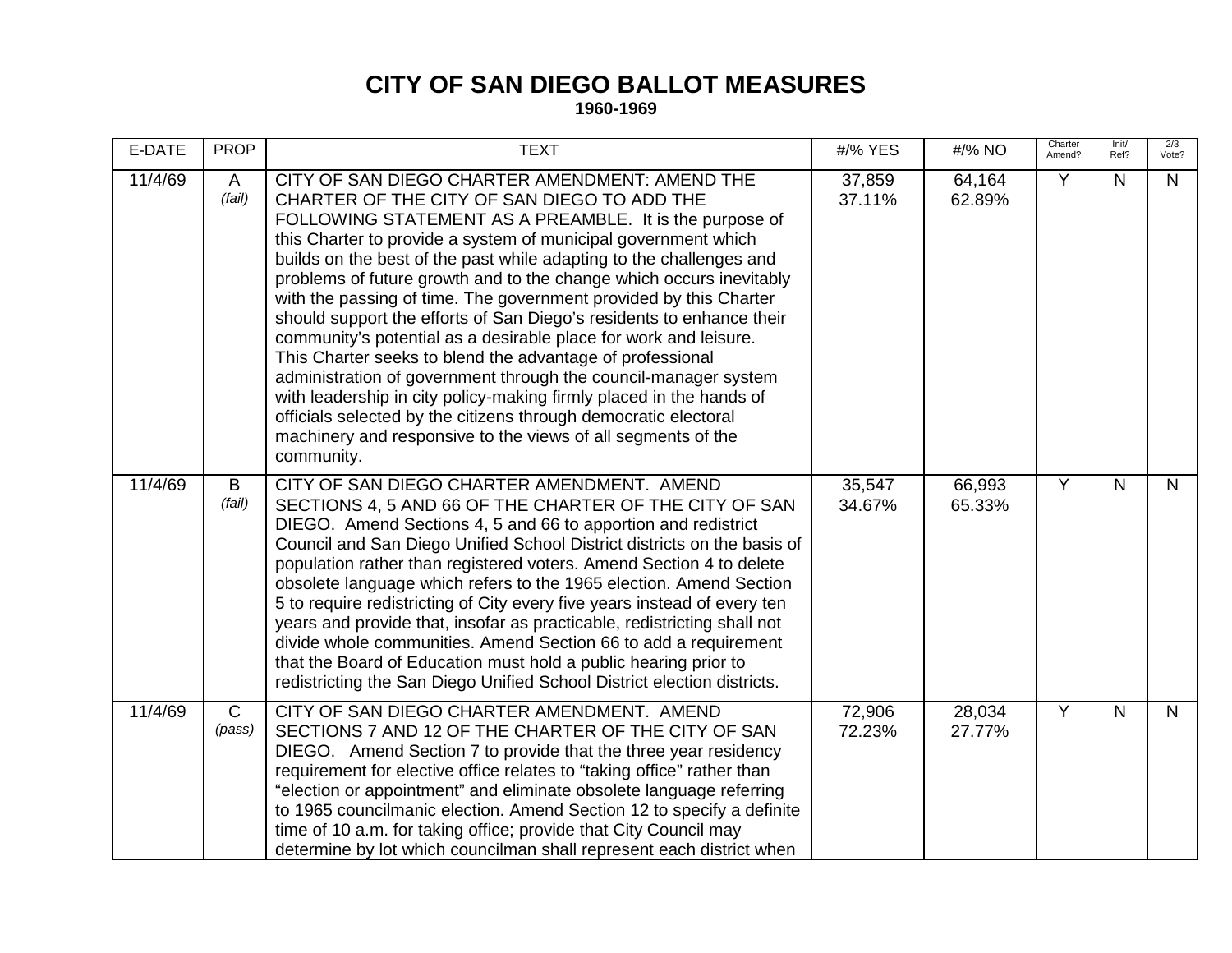## **CITY OF SAN DIEGO BALLOT MEASURES**

**1960-1969**

| E-DATE  | <b>PROP</b>            | <b>TEXT</b>                                                                                                                                                                                                                                                                                                                                                                                                                                                                                                                                                                                                                                                                                                                                                                                                                                                                                                                                       | #/% YES          | #/% NO           | Charter<br>Amend? | Init/<br>Ref? | 2/3<br>Vote? |
|---------|------------------------|---------------------------------------------------------------------------------------------------------------------------------------------------------------------------------------------------------------------------------------------------------------------------------------------------------------------------------------------------------------------------------------------------------------------------------------------------------------------------------------------------------------------------------------------------------------------------------------------------------------------------------------------------------------------------------------------------------------------------------------------------------------------------------------------------------------------------------------------------------------------------------------------------------------------------------------------------|------------------|------------------|-------------------|---------------|--------------|
| 11/4/69 | $\mathsf{A}$<br>(fail) | CITY OF SAN DIEGO CHARTER AMENDMENT: AMEND THE<br>CHARTER OF THE CITY OF SAN DIEGO TO ADD THE<br>FOLLOWING STATEMENT AS A PREAMBLE. It is the purpose of<br>this Charter to provide a system of municipal government which<br>builds on the best of the past while adapting to the challenges and<br>problems of future growth and to the change which occurs inevitably<br>with the passing of time. The government provided by this Charter<br>should support the efforts of San Diego's residents to enhance their<br>community's potential as a desirable place for work and leisure.<br>This Charter seeks to blend the advantage of professional<br>administration of government through the council-manager system<br>with leadership in city policy-making firmly placed in the hands of<br>officials selected by the citizens through democratic electoral<br>machinery and responsive to the views of all segments of the<br>community. | 37,859<br>37.11% | 64,164<br>62.89% | Y                 | N             | N            |
| 11/4/69 | B<br>(fail)            | CITY OF SAN DIEGO CHARTER AMENDMENT. AMEND<br>SECTIONS 4, 5 AND 66 OF THE CHARTER OF THE CITY OF SAN<br>DIEGO. Amend Sections 4, 5 and 66 to apportion and redistrict<br>Council and San Diego Unified School District districts on the basis of<br>population rather than registered voters. Amend Section 4 to delete<br>obsolete language which refers to the 1965 election. Amend Section<br>5 to require redistricting of City every five years instead of every ten<br>years and provide that, insofar as practicable, redistricting shall not<br>divide whole communities. Amend Section 66 to add a requirement<br>that the Board of Education must hold a public hearing prior to<br>redistricting the San Diego Unified School District election districts.                                                                                                                                                                             | 35,547<br>34.67% | 66,993<br>65.33% | Y                 | N             | N.           |
| 11/4/69 | $\mathsf{C}$<br>(pass) | CITY OF SAN DIEGO CHARTER AMENDMENT. AMEND<br>SECTIONS 7 AND 12 OF THE CHARTER OF THE CITY OF SAN<br>DIEGO. Amend Section 7 to provide that the three year residency<br>requirement for elective office relates to "taking office" rather than<br>"election or appointment" and eliminate obsolete language referring<br>to 1965 councilmanic election. Amend Section 12 to specify a definite<br>time of 10 a.m. for taking office; provide that City Council may<br>determine by lot which councilman shall represent each district when                                                                                                                                                                                                                                                                                                                                                                                                        | 72,906<br>72.23% | 28,034<br>27.77% | Y                 | $\mathsf{N}$  | N            |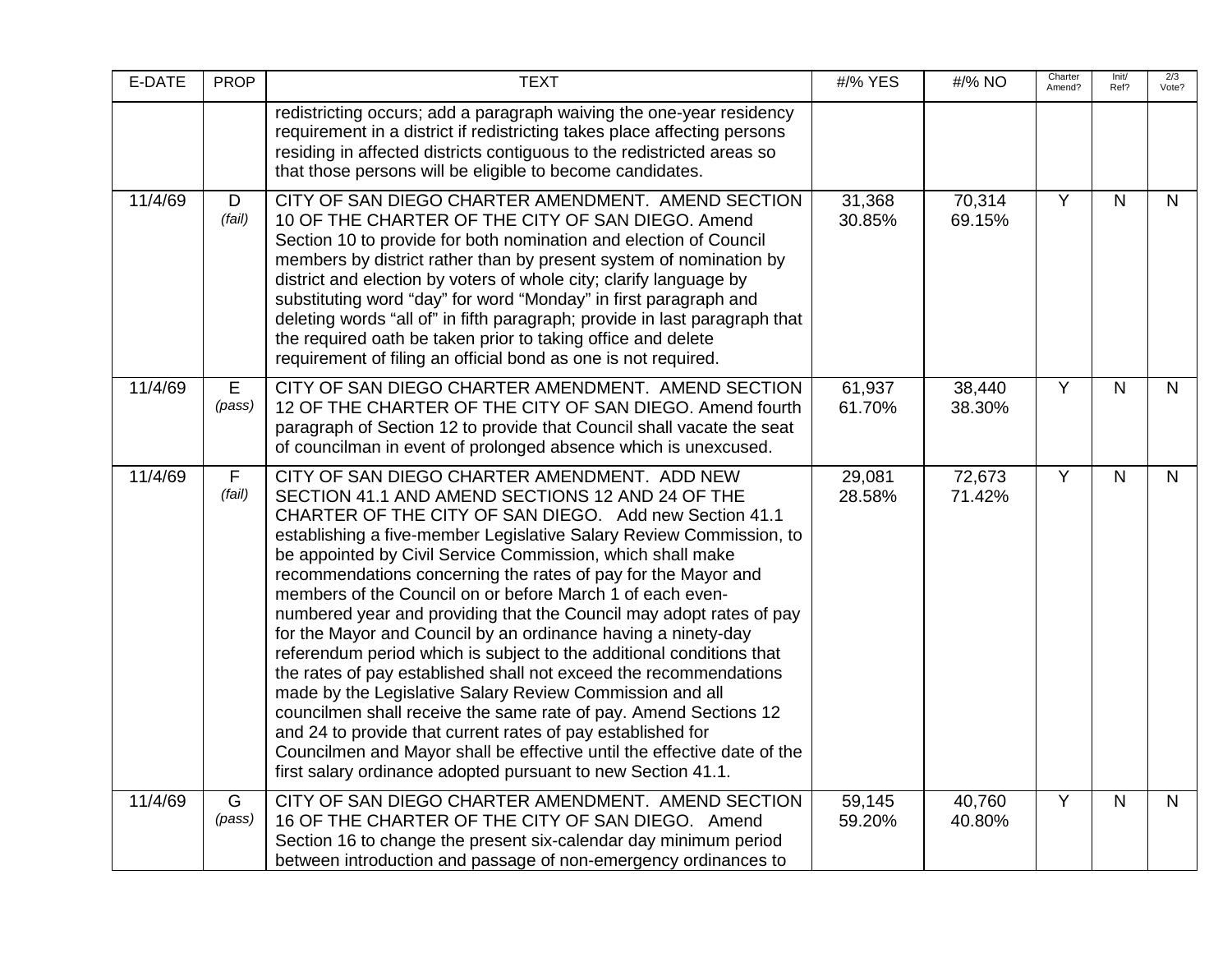| E-DATE  | <b>PROP</b>           | <b>TEXT</b>                                                                                                                                                                                                                                                                                                                                                                                                                                                                                                                                                                                                                                                                                                                                                                                                                                                                                                                                                                                                                                                  | #/% YES          | #/% NO           | Charter<br>Amend? | Init/<br>Ref? | 2/3<br>Vote? |
|---------|-----------------------|--------------------------------------------------------------------------------------------------------------------------------------------------------------------------------------------------------------------------------------------------------------------------------------------------------------------------------------------------------------------------------------------------------------------------------------------------------------------------------------------------------------------------------------------------------------------------------------------------------------------------------------------------------------------------------------------------------------------------------------------------------------------------------------------------------------------------------------------------------------------------------------------------------------------------------------------------------------------------------------------------------------------------------------------------------------|------------------|------------------|-------------------|---------------|--------------|
|         |                       | redistricting occurs; add a paragraph waiving the one-year residency<br>requirement in a district if redistricting takes place affecting persons<br>residing in affected districts contiguous to the redistricted areas so<br>that those persons will be eligible to become candidates.                                                                                                                                                                                                                                                                                                                                                                                                                                                                                                                                                                                                                                                                                                                                                                      |                  |                  |                   |               |              |
| 11/4/69 | D<br>(fail)           | CITY OF SAN DIEGO CHARTER AMENDMENT. AMEND SECTION<br>10 OF THE CHARTER OF THE CITY OF SAN DIEGO. Amend<br>Section 10 to provide for both nomination and election of Council<br>members by district rather than by present system of nomination by<br>district and election by voters of whole city; clarify language by<br>substituting word "day" for word "Monday" in first paragraph and<br>deleting words "all of" in fifth paragraph; provide in last paragraph that<br>the required oath be taken prior to taking office and delete<br>requirement of filing an official bond as one is not required.                                                                                                                                                                                                                                                                                                                                                                                                                                                 | 31,368<br>30.85% | 70,314<br>69.15% | Y                 | $\mathsf{N}$  | N            |
| 11/4/69 | E<br>(pass)           | CITY OF SAN DIEGO CHARTER AMENDMENT. AMEND SECTION<br>12 OF THE CHARTER OF THE CITY OF SAN DIEGO. Amend fourth<br>paragraph of Section 12 to provide that Council shall vacate the seat<br>of councilman in event of prolonged absence which is unexcused.                                                                                                                                                                                                                                                                                                                                                                                                                                                                                                                                                                                                                                                                                                                                                                                                   | 61,937<br>61.70% | 38,440<br>38.30% | Y                 | N             | $\mathsf{N}$ |
| 11/4/69 | $\mathsf F$<br>(fail) | CITY OF SAN DIEGO CHARTER AMENDMENT. ADD NEW<br>SECTION 41.1 AND AMEND SECTIONS 12 AND 24 OF THE<br>CHARTER OF THE CITY OF SAN DIEGO. Add new Section 41.1<br>establishing a five-member Legislative Salary Review Commission, to<br>be appointed by Civil Service Commission, which shall make<br>recommendations concerning the rates of pay for the Mayor and<br>members of the Council on or before March 1 of each even-<br>numbered year and providing that the Council may adopt rates of pay<br>for the Mayor and Council by an ordinance having a ninety-day<br>referendum period which is subject to the additional conditions that<br>the rates of pay established shall not exceed the recommendations<br>made by the Legislative Salary Review Commission and all<br>councilmen shall receive the same rate of pay. Amend Sections 12<br>and 24 to provide that current rates of pay established for<br>Councilmen and Mayor shall be effective until the effective date of the<br>first salary ordinance adopted pursuant to new Section 41.1. | 29,081<br>28.58% | 72,673<br>71.42% | Υ                 | $\mathsf{N}$  | $\mathsf{N}$ |
| 11/4/69 | G<br>(pass)           | CITY OF SAN DIEGO CHARTER AMENDMENT. AMEND SECTION<br>16 OF THE CHARTER OF THE CITY OF SAN DIEGO. Amend<br>Section 16 to change the present six-calendar day minimum period<br>between introduction and passage of non-emergency ordinances to                                                                                                                                                                                                                                                                                                                                                                                                                                                                                                                                                                                                                                                                                                                                                                                                               | 59,145<br>59.20% | 40,760<br>40.80% | Y                 | N             | $\mathsf{N}$ |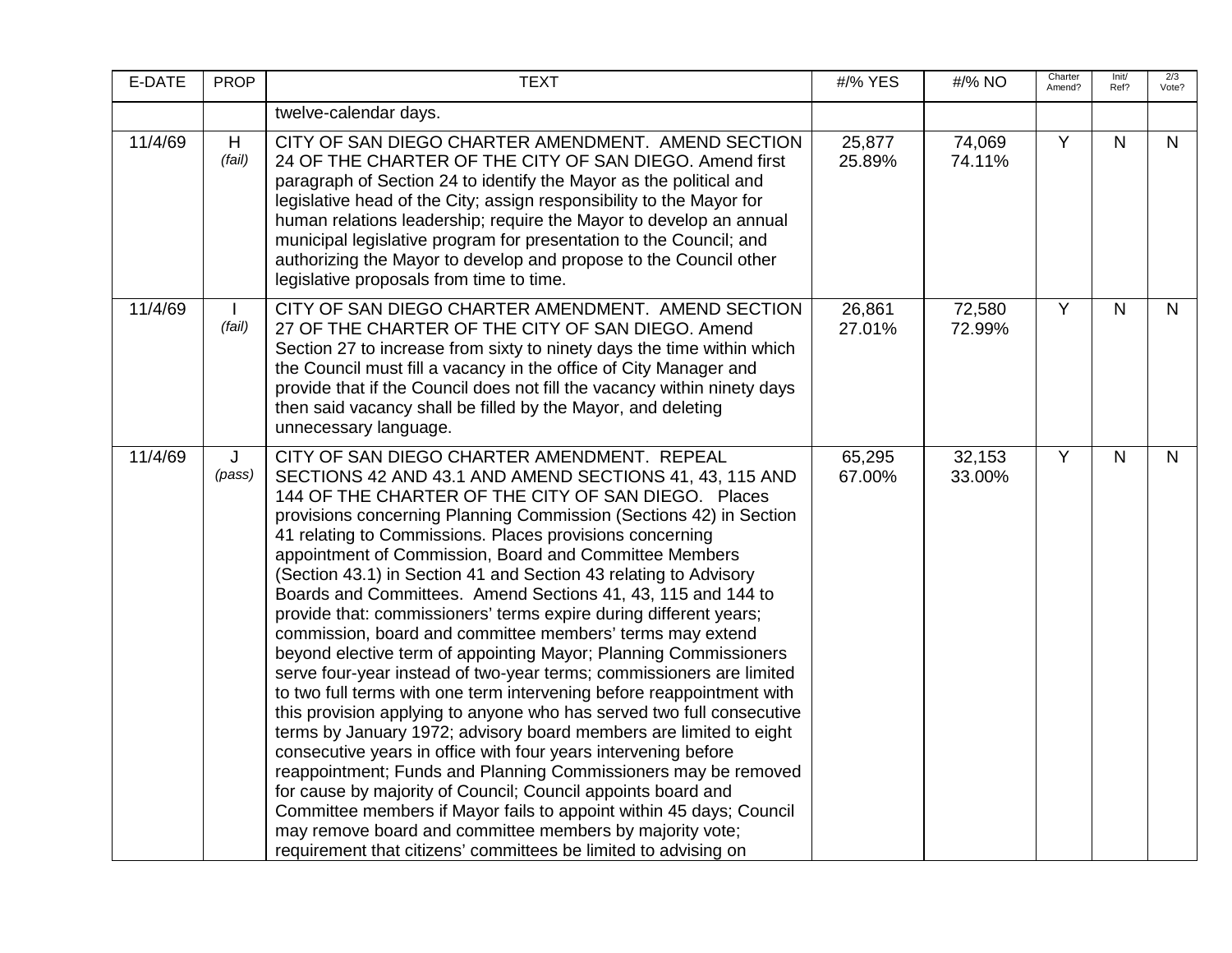| E-DATE  | <b>PROP</b> | <b>TEXT</b>                                                                                                                                                                                                                                                                                                                                                                                                                                                                                                                                                                                                                                                                                                                                                                                                                                                                                                                                                                                                                                                                                                                                                                                                                                                                                                                                                                                                   | #/% YES          | #/% NO           | Charter<br>Amend? | Init/<br>Ref? | 2/3<br>Vote? |
|---------|-------------|---------------------------------------------------------------------------------------------------------------------------------------------------------------------------------------------------------------------------------------------------------------------------------------------------------------------------------------------------------------------------------------------------------------------------------------------------------------------------------------------------------------------------------------------------------------------------------------------------------------------------------------------------------------------------------------------------------------------------------------------------------------------------------------------------------------------------------------------------------------------------------------------------------------------------------------------------------------------------------------------------------------------------------------------------------------------------------------------------------------------------------------------------------------------------------------------------------------------------------------------------------------------------------------------------------------------------------------------------------------------------------------------------------------|------------------|------------------|-------------------|---------------|--------------|
|         |             | twelve-calendar days.                                                                                                                                                                                                                                                                                                                                                                                                                                                                                                                                                                                                                                                                                                                                                                                                                                                                                                                                                                                                                                                                                                                                                                                                                                                                                                                                                                                         |                  |                  |                   |               |              |
| 11/4/69 | H<br>(fail) | CITY OF SAN DIEGO CHARTER AMENDMENT. AMEND SECTION<br>24 OF THE CHARTER OF THE CITY OF SAN DIEGO. Amend first<br>paragraph of Section 24 to identify the Mayor as the political and<br>legislative head of the City; assign responsibility to the Mayor for<br>human relations leadership; require the Mayor to develop an annual<br>municipal legislative program for presentation to the Council; and<br>authorizing the Mayor to develop and propose to the Council other<br>legislative proposals from time to time.                                                                                                                                                                                                                                                                                                                                                                                                                                                                                                                                                                                                                                                                                                                                                                                                                                                                                      | 25,877<br>25.89% | 74,069<br>74.11% | Y                 | $\mathsf{N}$  | $\mathsf{N}$ |
| 11/4/69 | (fail)      | CITY OF SAN DIEGO CHARTER AMENDMENT. AMEND SECTION<br>27 OF THE CHARTER OF THE CITY OF SAN DIEGO. Amend<br>Section 27 to increase from sixty to ninety days the time within which<br>the Council must fill a vacancy in the office of City Manager and<br>provide that if the Council does not fill the vacancy within ninety days<br>then said vacancy shall be filled by the Mayor, and deleting<br>unnecessary language.                                                                                                                                                                                                                                                                                                                                                                                                                                                                                                                                                                                                                                                                                                                                                                                                                                                                                                                                                                                   | 26,861<br>27.01% | 72,580<br>72.99% | $\overline{Y}$    | $\mathsf{N}$  | $\mathsf{N}$ |
| 11/4/69 | J<br>(pass) | CITY OF SAN DIEGO CHARTER AMENDMENT. REPEAL<br>SECTIONS 42 AND 43.1 AND AMEND SECTIONS 41, 43, 115 AND<br>144 OF THE CHARTER OF THE CITY OF SAN DIEGO. Places<br>provisions concerning Planning Commission (Sections 42) in Section<br>41 relating to Commissions. Places provisions concerning<br>appointment of Commission, Board and Committee Members<br>(Section 43.1) in Section 41 and Section 43 relating to Advisory<br>Boards and Committees. Amend Sections 41, 43, 115 and 144 to<br>provide that: commissioners' terms expire during different years;<br>commission, board and committee members' terms may extend<br>beyond elective term of appointing Mayor; Planning Commissioners<br>serve four-year instead of two-year terms; commissioners are limited<br>to two full terms with one term intervening before reappointment with<br>this provision applying to anyone who has served two full consecutive<br>terms by January 1972; advisory board members are limited to eight<br>consecutive years in office with four years intervening before<br>reappointment; Funds and Planning Commissioners may be removed<br>for cause by majority of Council; Council appoints board and<br>Committee members if Mayor fails to appoint within 45 days; Council<br>may remove board and committee members by majority vote;<br>requirement that citizens' committees be limited to advising on | 65,295<br>67.00% | 32,153<br>33.00% | $\overline{Y}$    | $\mathsf{N}$  | $\mathsf{N}$ |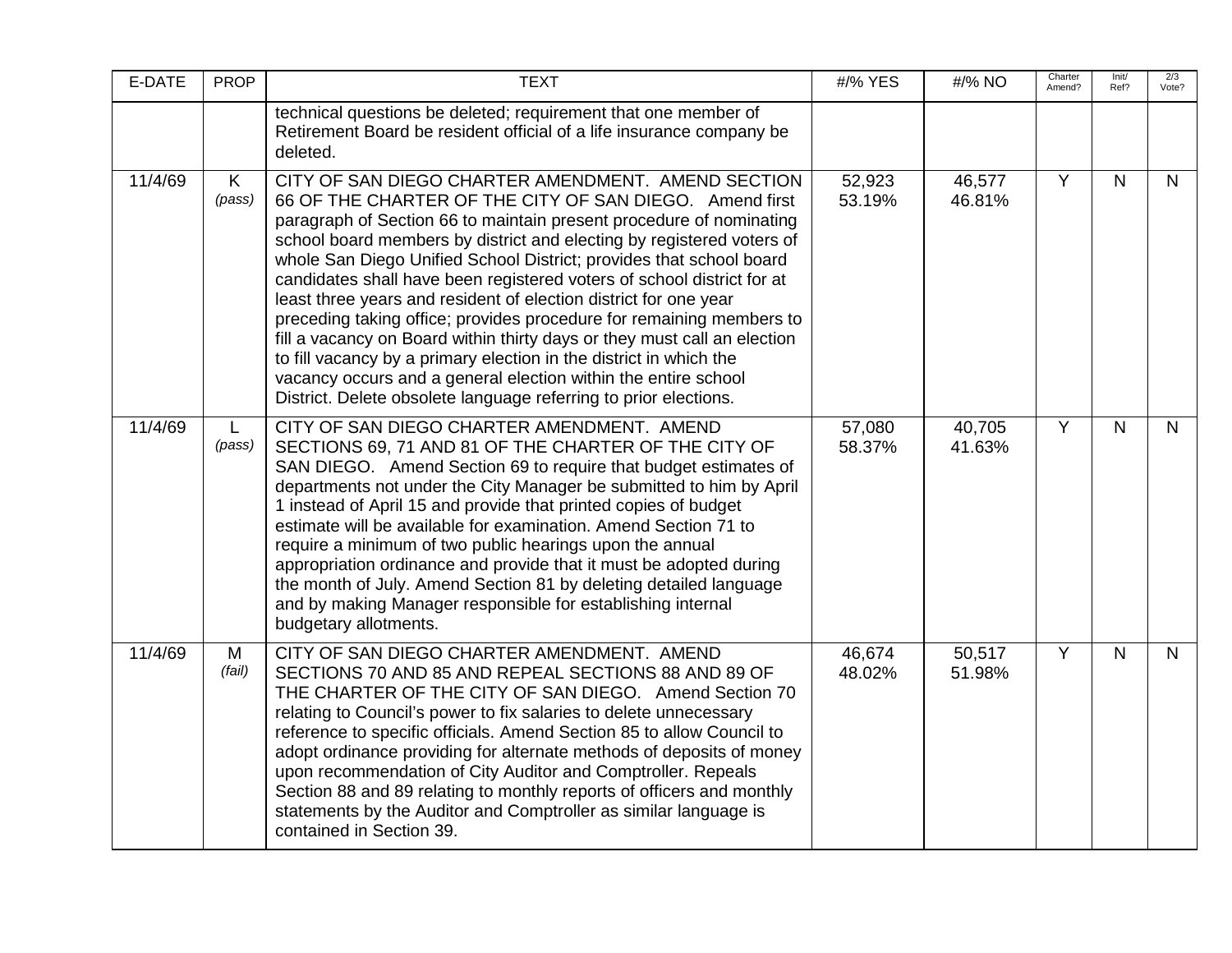| E-DATE  | <b>PROP</b> | <b>TEXT</b>                                                                                                                                                                                                                                                                                                                                                                                                                                                                                                                                                                                                                                                                                                                                                                                                                                        | #/% YES          | #/% NO           | Charter<br>Amend? | Init/<br>Ref? | 2/3<br>Vote? |
|---------|-------------|----------------------------------------------------------------------------------------------------------------------------------------------------------------------------------------------------------------------------------------------------------------------------------------------------------------------------------------------------------------------------------------------------------------------------------------------------------------------------------------------------------------------------------------------------------------------------------------------------------------------------------------------------------------------------------------------------------------------------------------------------------------------------------------------------------------------------------------------------|------------------|------------------|-------------------|---------------|--------------|
|         |             | technical questions be deleted; requirement that one member of<br>Retirement Board be resident official of a life insurance company be<br>deleted.                                                                                                                                                                                                                                                                                                                                                                                                                                                                                                                                                                                                                                                                                                 |                  |                  |                   |               |              |
| 11/4/69 | K<br>(pass) | CITY OF SAN DIEGO CHARTER AMENDMENT. AMEND SECTION<br>66 OF THE CHARTER OF THE CITY OF SAN DIEGO. Amend first<br>paragraph of Section 66 to maintain present procedure of nominating<br>school board members by district and electing by registered voters of<br>whole San Diego Unified School District; provides that school board<br>candidates shall have been registered voters of school district for at<br>least three years and resident of election district for one year<br>preceding taking office; provides procedure for remaining members to<br>fill a vacancy on Board within thirty days or they must call an election<br>to fill vacancy by a primary election in the district in which the<br>vacancy occurs and a general election within the entire school<br>District. Delete obsolete language referring to prior elections. | 52,923<br>53.19% | 46,577<br>46.81% | Y                 | N.            | N.           |
| 11/4/69 | L<br>(pass) | CITY OF SAN DIEGO CHARTER AMENDMENT. AMEND<br>SECTIONS 69, 71 AND 81 OF THE CHARTER OF THE CITY OF<br>SAN DIEGO. Amend Section 69 to require that budget estimates of<br>departments not under the City Manager be submitted to him by April<br>1 instead of April 15 and provide that printed copies of budget<br>estimate will be available for examination. Amend Section 71 to<br>require a minimum of two public hearings upon the annual<br>appropriation ordinance and provide that it must be adopted during<br>the month of July. Amend Section 81 by deleting detailed language<br>and by making Manager responsible for establishing internal<br>budgetary allotments.                                                                                                                                                                  | 57,080<br>58.37% | 40,705<br>41.63% | $\overline{Y}$    | N.            | $\mathsf{N}$ |
| 11/4/69 | M<br>(fail) | CITY OF SAN DIEGO CHARTER AMENDMENT. AMEND<br>SECTIONS 70 AND 85 AND REPEAL SECTIONS 88 AND 89 OF<br>THE CHARTER OF THE CITY OF SAN DIEGO. Amend Section 70<br>relating to Council's power to fix salaries to delete unnecessary<br>reference to specific officials. Amend Section 85 to allow Council to<br>adopt ordinance providing for alternate methods of deposits of money<br>upon recommendation of City Auditor and Comptroller. Repeals<br>Section 88 and 89 relating to monthly reports of officers and monthly<br>statements by the Auditor and Comptroller as similar language is<br>contained in Section 39.                                                                                                                                                                                                                         | 46,674<br>48.02% | 50,517<br>51.98% | Y                 | N.            | N.           |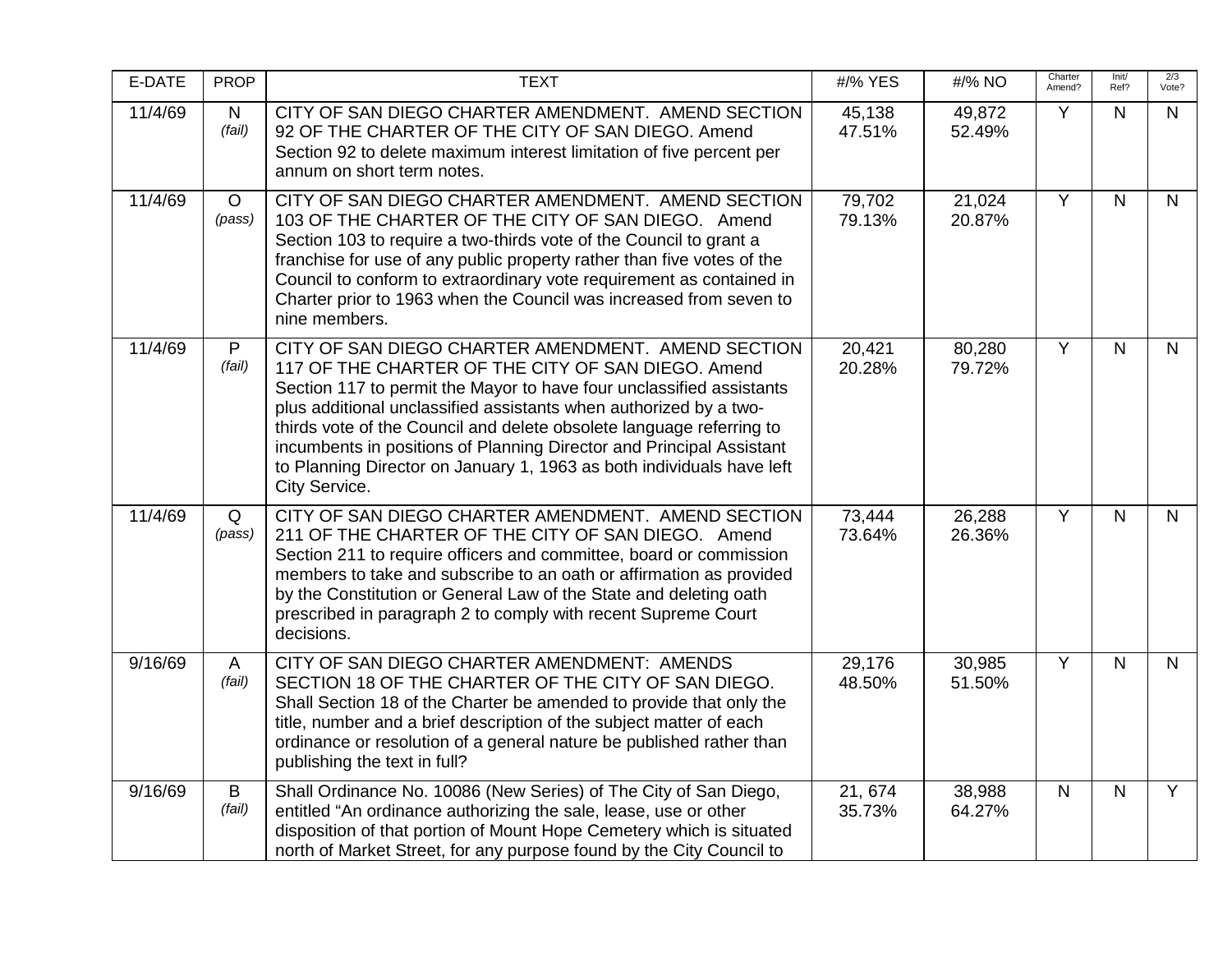| E-DATE  | <b>PROP</b>            | <b>TEXT</b>                                                                                                                                                                                                                                                                                                                                                                                                                                                                                     | #/% YES          | #/% NO           | Charter<br>Amend? | Init/<br>Ref? | 2/3<br>Vote?   |
|---------|------------------------|-------------------------------------------------------------------------------------------------------------------------------------------------------------------------------------------------------------------------------------------------------------------------------------------------------------------------------------------------------------------------------------------------------------------------------------------------------------------------------------------------|------------------|------------------|-------------------|---------------|----------------|
| 11/4/69 | $\mathsf{N}$<br>(fail) | CITY OF SAN DIEGO CHARTER AMENDMENT. AMEND SECTION<br>92 OF THE CHARTER OF THE CITY OF SAN DIEGO. Amend<br>Section 92 to delete maximum interest limitation of five percent per<br>annum on short term notes.                                                                                                                                                                                                                                                                                   | 45,138<br>47.51% | 49,872<br>52.49% | Y                 | N             | $\mathsf{N}$   |
| 11/4/69 | $\circ$<br>(pass)      | CITY OF SAN DIEGO CHARTER AMENDMENT. AMEND SECTION<br>103 OF THE CHARTER OF THE CITY OF SAN DIEGO. Amend<br>Section 103 to require a two-thirds vote of the Council to grant a<br>franchise for use of any public property rather than five votes of the<br>Council to conform to extraordinary vote requirement as contained in<br>Charter prior to 1963 when the Council was increased from seven to<br>nine members.                                                                         | 79,702<br>79.13% | 21,024<br>20.87% | Y                 | $\mathsf{N}$  | $\mathsf{N}$   |
| 11/4/69 | P<br>(fail)            | CITY OF SAN DIEGO CHARTER AMENDMENT. AMEND SECTION<br>117 OF THE CHARTER OF THE CITY OF SAN DIEGO. Amend<br>Section 117 to permit the Mayor to have four unclassified assistants<br>plus additional unclassified assistants when authorized by a two-<br>thirds vote of the Council and delete obsolete language referring to<br>incumbents in positions of Planning Director and Principal Assistant<br>to Planning Director on January 1, 1963 as both individuals have left<br>City Service. | 20,421<br>20.28% | 80,280<br>79.72% | $\overline{Y}$    | $\mathsf{N}$  | $\mathsf{N}$   |
| 11/4/69 | Q<br>(pass)            | CITY OF SAN DIEGO CHARTER AMENDMENT. AMEND SECTION<br>211 OF THE CHARTER OF THE CITY OF SAN DIEGO. Amend<br>Section 211 to require officers and committee, board or commission<br>members to take and subscribe to an oath or affirmation as provided<br>by the Constitution or General Law of the State and deleting oath<br>prescribed in paragraph 2 to comply with recent Supreme Court<br>decisions.                                                                                       | 73,444<br>73.64% | 26,288<br>26.36% | Y                 | $\mathsf{N}$  | $\mathsf{N}$   |
| 9/16/69 | A<br>(fail)            | CITY OF SAN DIEGO CHARTER AMENDMENT: AMENDS<br>SECTION 18 OF THE CHARTER OF THE CITY OF SAN DIEGO.<br>Shall Section 18 of the Charter be amended to provide that only the<br>title, number and a brief description of the subject matter of each<br>ordinance or resolution of a general nature be published rather than<br>publishing the text in full?                                                                                                                                        | 29,176<br>48.50% | 30,985<br>51.50% | Y                 | $\mathsf{N}$  | $\mathsf{N}$   |
| 9/16/69 | B<br>(fail)            | Shall Ordinance No. 10086 (New Series) of The City of San Diego,<br>entitled "An ordinance authorizing the sale, lease, use or other<br>disposition of that portion of Mount Hope Cemetery which is situated<br>north of Market Street, for any purpose found by the City Council to                                                                                                                                                                                                            | 21,674<br>35.73% | 38,988<br>64.27% | $\mathsf{N}$      | N             | $\overline{Y}$ |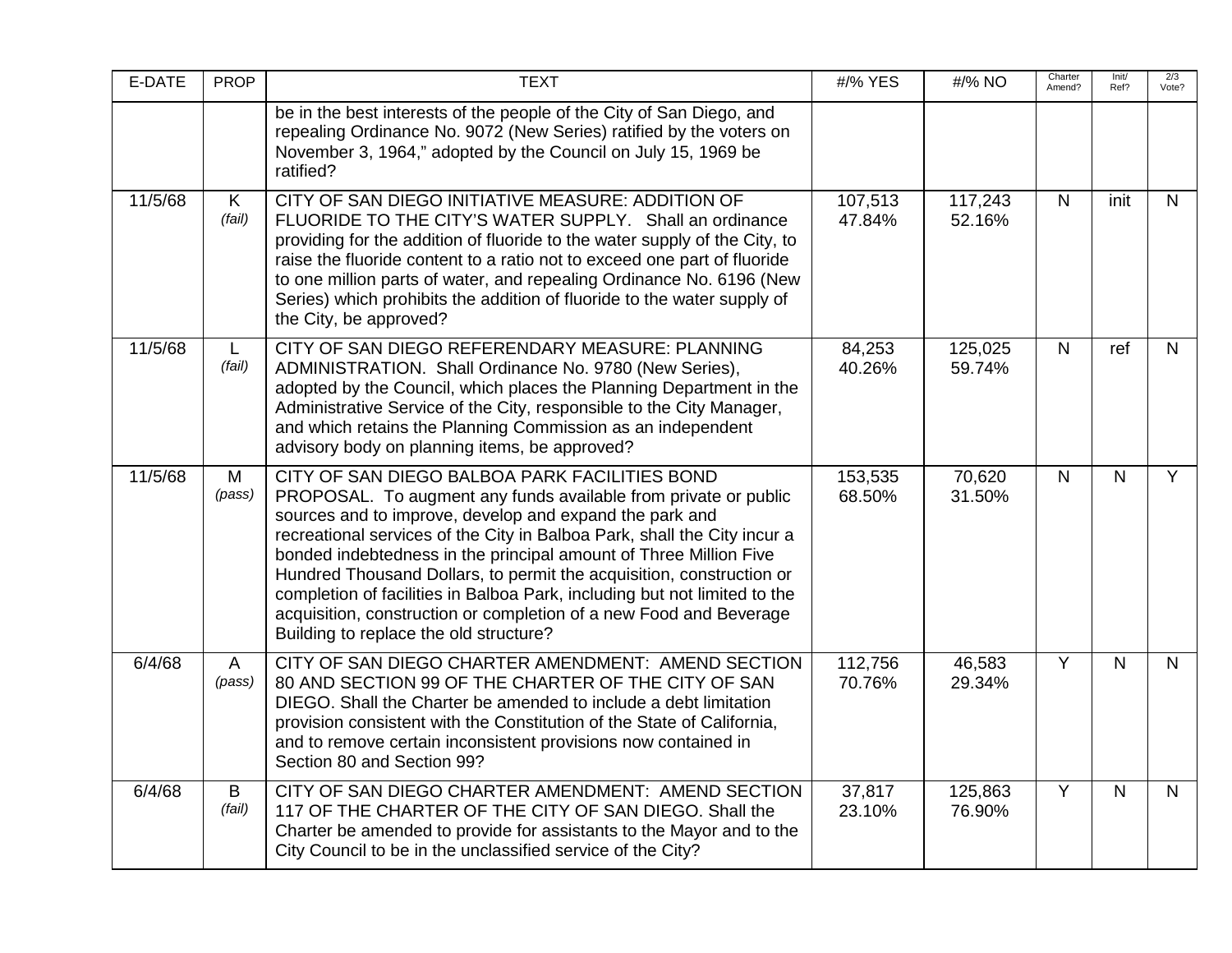| E-DATE  | <b>PROP</b>            | <b>TEXT</b>                                                                                                                                                                                                                                                                                                                                                                                                                                                                                                                                                                                       | #/% YES           | #/% NO            | Charter<br>Amend? | Init/<br>Ref?  | 2/3<br>Vote? |
|---------|------------------------|---------------------------------------------------------------------------------------------------------------------------------------------------------------------------------------------------------------------------------------------------------------------------------------------------------------------------------------------------------------------------------------------------------------------------------------------------------------------------------------------------------------------------------------------------------------------------------------------------|-------------------|-------------------|-------------------|----------------|--------------|
|         |                        | be in the best interests of the people of the City of San Diego, and<br>repealing Ordinance No. 9072 (New Series) ratified by the voters on<br>November 3, 1964," adopted by the Council on July 15, 1969 be<br>ratified?                                                                                                                                                                                                                                                                                                                                                                         |                   |                   |                   |                |              |
| 11/5/68 | K<br>(fail)            | CITY OF SAN DIEGO INITIATIVE MEASURE: ADDITION OF<br>FLUORIDE TO THE CITY'S WATER SUPPLY. Shall an ordinance<br>providing for the addition of fluoride to the water supply of the City, to<br>raise the fluoride content to a ratio not to exceed one part of fluoride<br>to one million parts of water, and repealing Ordinance No. 6196 (New<br>Series) which prohibits the addition of fluoride to the water supply of<br>the City, be approved?                                                                                                                                               | 107,513<br>47.84% | 117,243<br>52.16% | $\mathsf{N}$      | init           | N            |
| 11/5/68 | L.<br>(fail)           | CITY OF SAN DIEGO REFERENDARY MEASURE: PLANNING<br>ADMINISTRATION. Shall Ordinance No. 9780 (New Series),<br>adopted by the Council, which places the Planning Department in the<br>Administrative Service of the City, responsible to the City Manager,<br>and which retains the Planning Commission as an independent<br>advisory body on planning items, be approved?                                                                                                                                                                                                                          | 84,253<br>40.26%  | 125,025<br>59.74% | $\mathsf{N}$      | ref            | $\mathsf{N}$ |
| 11/5/68 | M<br>(pass)            | CITY OF SAN DIEGO BALBOA PARK FACILITIES BOND<br>PROPOSAL. To augment any funds available from private or public<br>sources and to improve, develop and expand the park and<br>recreational services of the City in Balboa Park, shall the City incur a<br>bonded indebtedness in the principal amount of Three Million Five<br>Hundred Thousand Dollars, to permit the acquisition, construction or<br>completion of facilities in Balboa Park, including but not limited to the<br>acquisition, construction or completion of a new Food and Beverage<br>Building to replace the old structure? | 153,535<br>68.50% | 70,620<br>31.50%  | N                 | N              | Y            |
| 6/4/68  | $\mathsf{A}$<br>(pass) | CITY OF SAN DIEGO CHARTER AMENDMENT: AMEND SECTION<br>80 AND SECTION 99 OF THE CHARTER OF THE CITY OF SAN<br>DIEGO. Shall the Charter be amended to include a debt limitation<br>provision consistent with the Constitution of the State of California,<br>and to remove certain inconsistent provisions now contained in<br>Section 80 and Section 99?                                                                                                                                                                                                                                           | 112,756<br>70.76% | 46,583<br>29.34%  | $\overline{Y}$    | $\overline{N}$ | N            |
| 6/4/68  | B<br>(fail)            | CITY OF SAN DIEGO CHARTER AMENDMENT: AMEND SECTION<br>117 OF THE CHARTER OF THE CITY OF SAN DIEGO. Shall the<br>Charter be amended to provide for assistants to the Mayor and to the<br>City Council to be in the unclassified service of the City?                                                                                                                                                                                                                                                                                                                                               | 37,817<br>23.10%  | 125,863<br>76.90% | $\overline{Y}$    | N              | $\mathsf{N}$ |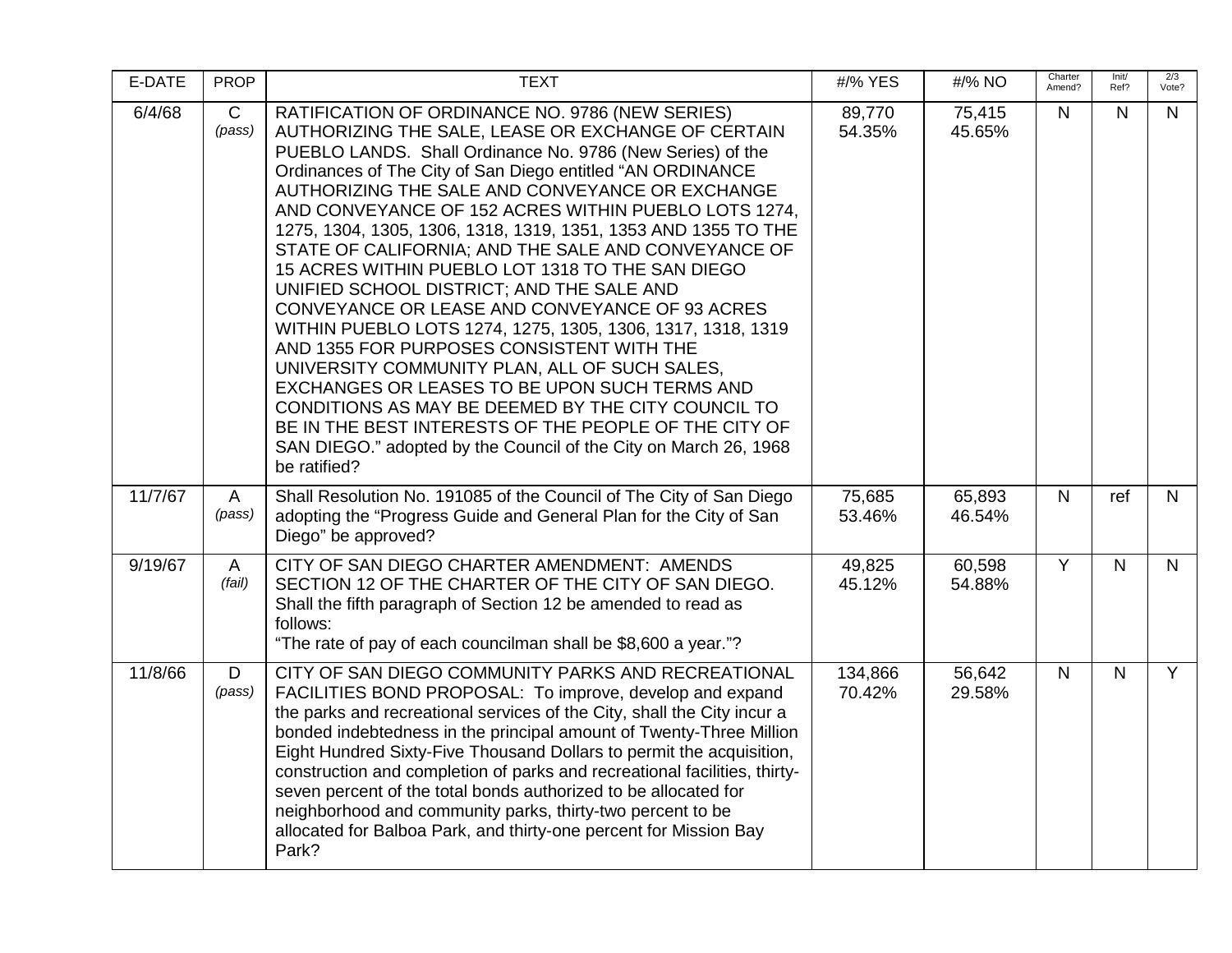| E-DATE  | <b>PROP</b>            | <b>TEXT</b>                                                                                                                                                                                                                                                                                                                                                                                                                                                                                                                                                                                                                                                                                                                                                                                                                                                                                                                                                                                                                               | #/% YES           | #/% NO           | Charter<br>Amend? | Init/<br>Ref?           | 2/3<br>Vote?   |
|---------|------------------------|-------------------------------------------------------------------------------------------------------------------------------------------------------------------------------------------------------------------------------------------------------------------------------------------------------------------------------------------------------------------------------------------------------------------------------------------------------------------------------------------------------------------------------------------------------------------------------------------------------------------------------------------------------------------------------------------------------------------------------------------------------------------------------------------------------------------------------------------------------------------------------------------------------------------------------------------------------------------------------------------------------------------------------------------|-------------------|------------------|-------------------|-------------------------|----------------|
| 6/4/68  | $\mathsf{C}$<br>(pass) | RATIFICATION OF ORDINANCE NO. 9786 (NEW SERIES)<br>AUTHORIZING THE SALE, LEASE OR EXCHANGE OF CERTAIN<br>PUEBLO LANDS. Shall Ordinance No. 9786 (New Series) of the<br>Ordinances of The City of San Diego entitled "AN ORDINANCE<br>AUTHORIZING THE SALE AND CONVEYANCE OR EXCHANGE<br>AND CONVEYANCE OF 152 ACRES WITHIN PUEBLO LOTS 1274,<br>1275, 1304, 1305, 1306, 1318, 1319, 1351, 1353 AND 1355 TO THE<br>STATE OF CALIFORNIA; AND THE SALE AND CONVEYANCE OF<br>15 ACRES WITHIN PUEBLO LOT 1318 TO THE SAN DIEGO<br>UNIFIED SCHOOL DISTRICT; AND THE SALE AND<br>CONVEYANCE OR LEASE AND CONVEYANCE OF 93 ACRES<br>WITHIN PUEBLO LOTS 1274, 1275, 1305, 1306, 1317, 1318, 1319<br>AND 1355 FOR PURPOSES CONSISTENT WITH THE<br>UNIVERSITY COMMUNITY PLAN, ALL OF SUCH SALES,<br>EXCHANGES OR LEASES TO BE UPON SUCH TERMS AND<br>CONDITIONS AS MAY BE DEEMED BY THE CITY COUNCIL TO<br>BE IN THE BEST INTERESTS OF THE PEOPLE OF THE CITY OF<br>SAN DIEGO." adopted by the Council of the City on March 26, 1968<br>be ratified? | 89,770<br>54.35%  | 75,415<br>45.65% | $\mathsf{N}$      | $\mathsf{N}$            | N              |
| 11/7/67 | $\mathsf{A}$<br>(pass) | Shall Resolution No. 191085 of the Council of The City of San Diego<br>adopting the "Progress Guide and General Plan for the City of San<br>Diego" be approved?                                                                                                                                                                                                                                                                                                                                                                                                                                                                                                                                                                                                                                                                                                                                                                                                                                                                           | 75,685<br>53.46%  | 65,893<br>46.54% | $\mathsf{N}$      | ref                     | N              |
| 9/19/67 | $\mathsf{A}$<br>(fail) | CITY OF SAN DIEGO CHARTER AMENDMENT: AMENDS<br>SECTION 12 OF THE CHARTER OF THE CITY OF SAN DIEGO.<br>Shall the fifth paragraph of Section 12 be amended to read as<br>follows:<br>"The rate of pay of each councilman shall be \$8,600 a year."?                                                                                                                                                                                                                                                                                                                                                                                                                                                                                                                                                                                                                                                                                                                                                                                         | 49,825<br>45.12%  | 60,598<br>54.88% | Y                 | N.                      | N              |
| 11/8/66 | D<br>(pass)            | CITY OF SAN DIEGO COMMUNITY PARKS AND RECREATIONAL<br>FACILITIES BOND PROPOSAL: To improve, develop and expand<br>the parks and recreational services of the City, shall the City incur a<br>bonded indebtedness in the principal amount of Twenty-Three Million<br>Eight Hundred Sixty-Five Thousand Dollars to permit the acquisition,<br>construction and completion of parks and recreational facilities, thirty-<br>seven percent of the total bonds authorized to be allocated for<br>neighborhood and community parks, thirty-two percent to be<br>allocated for Balboa Park, and thirty-one percent for Mission Bay<br>Park?                                                                                                                                                                                                                                                                                                                                                                                                      | 134,866<br>70.42% | 56,642<br>29.58% | $\mathsf{N}$      | $\overline{\mathsf{N}}$ | $\overline{Y}$ |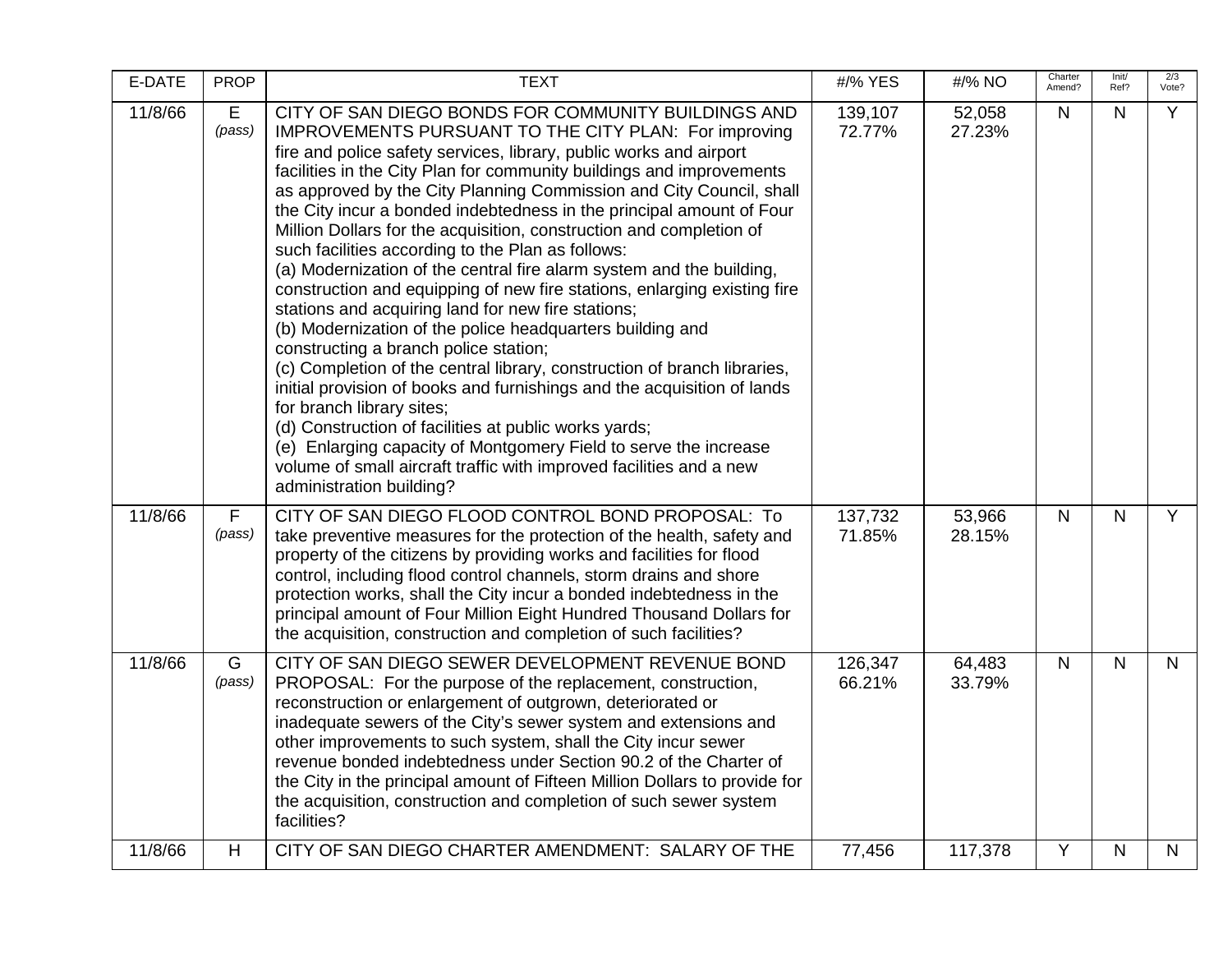| E-DATE  | <b>PROP</b> | <b>TEXT</b>                                                                                                                                                                                                                                                                                                                                                                                                                                                                                                                                                                                                                                                                                                                                                                                                                                                                                                                                                                                                                                                                                                                                                                                                                                                               | #/% YES           | #/% NO           | Charter<br>Amend? | Init/<br>Ref? | 2/3<br>Vote? |
|---------|-------------|---------------------------------------------------------------------------------------------------------------------------------------------------------------------------------------------------------------------------------------------------------------------------------------------------------------------------------------------------------------------------------------------------------------------------------------------------------------------------------------------------------------------------------------------------------------------------------------------------------------------------------------------------------------------------------------------------------------------------------------------------------------------------------------------------------------------------------------------------------------------------------------------------------------------------------------------------------------------------------------------------------------------------------------------------------------------------------------------------------------------------------------------------------------------------------------------------------------------------------------------------------------------------|-------------------|------------------|-------------------|---------------|--------------|
| 11/8/66 | E<br>(pass) | CITY OF SAN DIEGO BONDS FOR COMMUNITY BUILDINGS AND<br>IMPROVEMENTS PURSUANT TO THE CITY PLAN: For improving<br>fire and police safety services, library, public works and airport<br>facilities in the City Plan for community buildings and improvements<br>as approved by the City Planning Commission and City Council, shall<br>the City incur a bonded indebtedness in the principal amount of Four<br>Million Dollars for the acquisition, construction and completion of<br>such facilities according to the Plan as follows:<br>(a) Modernization of the central fire alarm system and the building,<br>construction and equipping of new fire stations, enlarging existing fire<br>stations and acquiring land for new fire stations;<br>(b) Modernization of the police headquarters building and<br>constructing a branch police station;<br>(c) Completion of the central library, construction of branch libraries,<br>initial provision of books and furnishings and the acquisition of lands<br>for branch library sites;<br>(d) Construction of facilities at public works yards;<br>(e) Enlarging capacity of Montgomery Field to serve the increase<br>volume of small aircraft traffic with improved facilities and a new<br>administration building? | 139,107<br>72.77% | 52,058<br>27.23% | N                 | $\mathsf{N}$  | Y            |
| 11/8/66 | F<br>(pass) | CITY OF SAN DIEGO FLOOD CONTROL BOND PROPOSAL: To<br>take preventive measures for the protection of the health, safety and<br>property of the citizens by providing works and facilities for flood<br>control, including flood control channels, storm drains and shore<br>protection works, shall the City incur a bonded indebtedness in the<br>principal amount of Four Million Eight Hundred Thousand Dollars for<br>the acquisition, construction and completion of such facilities?                                                                                                                                                                                                                                                                                                                                                                                                                                                                                                                                                                                                                                                                                                                                                                                 | 137,732<br>71.85% | 53,966<br>28.15% | $\mathsf{N}$      | $\mathsf{N}$  | Y            |
| 11/8/66 | G<br>(pass) | CITY OF SAN DIEGO SEWER DEVELOPMENT REVENUE BOND<br>PROPOSAL: For the purpose of the replacement, construction,<br>reconstruction or enlargement of outgrown, deteriorated or<br>inadequate sewers of the City's sewer system and extensions and<br>other improvements to such system, shall the City incur sewer<br>revenue bonded indebtedness under Section 90.2 of the Charter of<br>the City in the principal amount of Fifteen Million Dollars to provide for<br>the acquisition, construction and completion of such sewer system<br>facilities?                                                                                                                                                                                                                                                                                                                                                                                                                                                                                                                                                                                                                                                                                                                   | 126,347<br>66.21% | 64,483<br>33.79% | $\mathsf{N}$      | $\mathsf{N}$  | N            |
| 11/8/66 | H           | CITY OF SAN DIEGO CHARTER AMENDMENT: SALARY OF THE                                                                                                                                                                                                                                                                                                                                                                                                                                                                                                                                                                                                                                                                                                                                                                                                                                                                                                                                                                                                                                                                                                                                                                                                                        | 77,456            | 117,378          | Y                 | N             | N            |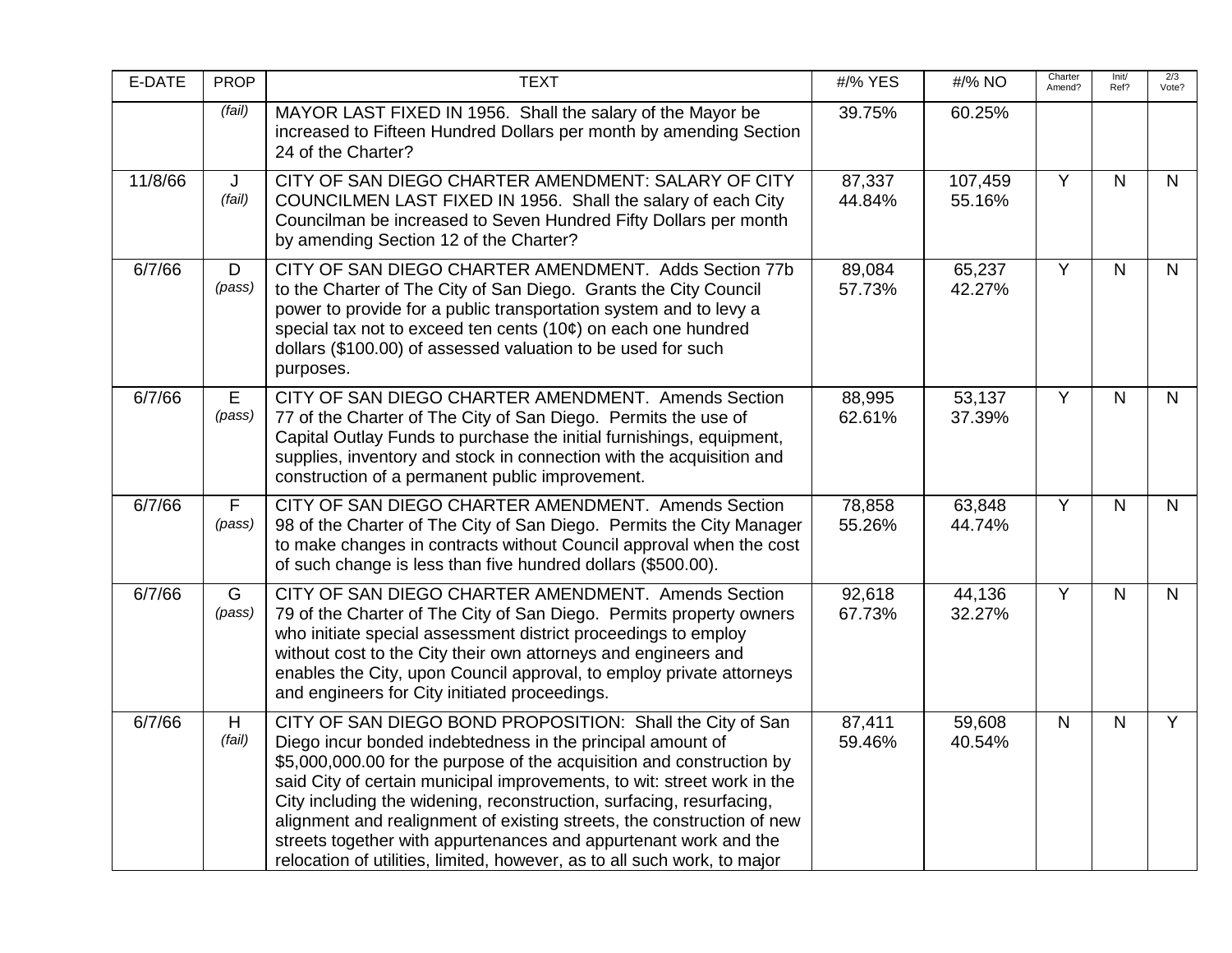| E-DATE  | <b>PROP</b>              | <b>TEXT</b>                                                                                                                                                                                                                                                                                                                                                                                                                                                                                                                                                                   | #/% YES          | #/% NO            | Charter<br>Amend? | Init/<br>Ref? | 2/3<br>Vote?   |
|---------|--------------------------|-------------------------------------------------------------------------------------------------------------------------------------------------------------------------------------------------------------------------------------------------------------------------------------------------------------------------------------------------------------------------------------------------------------------------------------------------------------------------------------------------------------------------------------------------------------------------------|------------------|-------------------|-------------------|---------------|----------------|
|         | (fail)                   | MAYOR LAST FIXED IN 1956. Shall the salary of the Mayor be<br>increased to Fifteen Hundred Dollars per month by amending Section<br>24 of the Charter?                                                                                                                                                                                                                                                                                                                                                                                                                        | 39.75%           | 60.25%            |                   |               |                |
| 11/8/66 | J<br>(fail)              | CITY OF SAN DIEGO CHARTER AMENDMENT: SALARY OF CITY<br>COUNCILMEN LAST FIXED IN 1956. Shall the salary of each City<br>Councilman be increased to Seven Hundred Fifty Dollars per month<br>by amending Section 12 of the Charter?                                                                                                                                                                                                                                                                                                                                             | 87,337<br>44.84% | 107,459<br>55.16% | Y                 | $\mathsf{N}$  | $\mathsf{N}$   |
| 6/7/66  | D<br>(pass)              | CITY OF SAN DIEGO CHARTER AMENDMENT. Adds Section 77b<br>to the Charter of The City of San Diego. Grants the City Council<br>power to provide for a public transportation system and to levy a<br>special tax not to exceed ten cents $(10¢)$ on each one hundred<br>dollars (\$100.00) of assessed valuation to be used for such<br>purposes.                                                                                                                                                                                                                                | 89,084<br>57.73% | 65,237<br>42.27%  | Y                 | $\mathsf{N}$  | $\mathsf{N}$   |
| 6/7/66  | E<br>(pass)              | CITY OF SAN DIEGO CHARTER AMENDMENT. Amends Section<br>77 of the Charter of The City of San Diego. Permits the use of<br>Capital Outlay Funds to purchase the initial furnishings, equipment,<br>supplies, inventory and stock in connection with the acquisition and<br>construction of a permanent public improvement.                                                                                                                                                                                                                                                      | 88,995<br>62.61% | 53,137<br>37.39%  | Y                 | $\mathsf{N}$  | N              |
| 6/7/66  | $\overline{F}$<br>(pass) | CITY OF SAN DIEGO CHARTER AMENDMENT. Amends Section<br>98 of the Charter of The City of San Diego. Permits the City Manager<br>to make changes in contracts without Council approval when the cost<br>of such change is less than five hundred dollars (\$500.00).                                                                                                                                                                                                                                                                                                            | 78,858<br>55.26% | 63,848<br>44.74%  | $\overline{Y}$    | $\mathsf{N}$  | $\mathsf{N}$   |
| 6/7/66  | G<br>(pass)              | CITY OF SAN DIEGO CHARTER AMENDMENT. Amends Section<br>79 of the Charter of The City of San Diego. Permits property owners<br>who initiate special assessment district proceedings to employ<br>without cost to the City their own attorneys and engineers and<br>enables the City, upon Council approval, to employ private attorneys<br>and engineers for City initiated proceedings.                                                                                                                                                                                       | 92,618<br>67.73% | 44,136<br>32.27%  | $\overline{Y}$    | $\mathsf{N}$  | $\mathsf{N}$   |
| 6/7/66  | H.<br>(fail)             | CITY OF SAN DIEGO BOND PROPOSITION: Shall the City of San<br>Diego incur bonded indebtedness in the principal amount of<br>\$5,000,000.00 for the purpose of the acquisition and construction by<br>said City of certain municipal improvements, to wit: street work in the<br>City including the widening, reconstruction, surfacing, resurfacing,<br>alignment and realignment of existing streets, the construction of new<br>streets together with appurtenances and appurtenant work and the<br>relocation of utilities, limited, however, as to all such work, to major | 87,411<br>59.46% | 59,608<br>40.54%  | $\mathsf{N}$      | $\mathsf{N}$  | $\overline{Y}$ |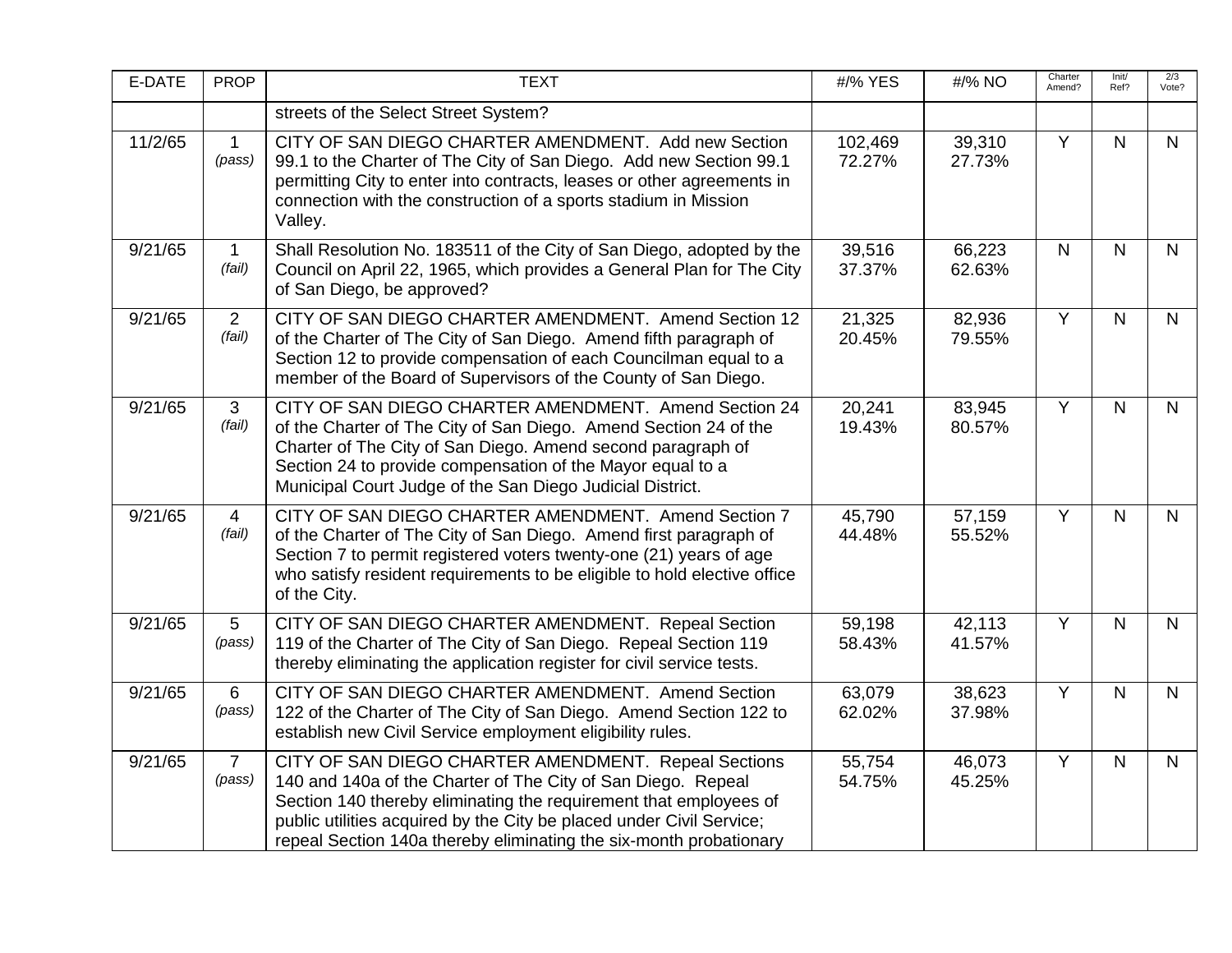| E-DATE  | <b>PROP</b>              | <b>TEXT</b>                                                                                                                                                                                                                                                                                                                             | #/% YES           | #/% NO           | Charter<br>Amend? | Init/<br>Ref?  | 2/3<br>Vote? |
|---------|--------------------------|-----------------------------------------------------------------------------------------------------------------------------------------------------------------------------------------------------------------------------------------------------------------------------------------------------------------------------------------|-------------------|------------------|-------------------|----------------|--------------|
|         |                          | streets of the Select Street System?                                                                                                                                                                                                                                                                                                    |                   |                  |                   |                |              |
| 11/2/65 | $\mathbf{1}$<br>(pass)   | CITY OF SAN DIEGO CHARTER AMENDMENT. Add new Section<br>99.1 to the Charter of The City of San Diego. Add new Section 99.1<br>permitting City to enter into contracts, leases or other agreements in<br>connection with the construction of a sports stadium in Mission<br>Valley.                                                      | 102,469<br>72.27% | 39,310<br>27.73% | $\overline{Y}$    | N.             | $\mathsf{N}$ |
| 9/21/65 | $\mathbf{1}$<br>(fail)   | Shall Resolution No. 183511 of the City of San Diego, adopted by the<br>Council on April 22, 1965, which provides a General Plan for The City<br>of San Diego, be approved?                                                                                                                                                             | 39,516<br>37.37%  | 66,223<br>62.63% | $\mathsf{N}$      | $\mathsf{N}$   | $\mathsf{N}$ |
| 9/21/65 | 2<br>(fail)              | CITY OF SAN DIEGO CHARTER AMENDMENT. Amend Section 12<br>of the Charter of The City of San Diego. Amend fifth paragraph of<br>Section 12 to provide compensation of each Councilman equal to a<br>member of the Board of Supervisors of the County of San Diego.                                                                        | 21,325<br>20.45%  | 82,936<br>79.55% | Y                 | N              | N            |
| 9/21/65 | 3<br>(fail)              | CITY OF SAN DIEGO CHARTER AMENDMENT. Amend Section 24<br>of the Charter of The City of San Diego. Amend Section 24 of the<br>Charter of The City of San Diego. Amend second paragraph of<br>Section 24 to provide compensation of the Mayor equal to a<br>Municipal Court Judge of the San Diego Judicial District.                     | 20,241<br>19.43%  | 83,945<br>80.57% | Y                 | $\mathsf{N}$   | $\mathsf{N}$ |
| 9/21/65 | $\overline{4}$<br>(fail) | CITY OF SAN DIEGO CHARTER AMENDMENT. Amend Section 7<br>of the Charter of The City of San Diego. Amend first paragraph of<br>Section 7 to permit registered voters twenty-one (21) years of age<br>who satisfy resident requirements to be eligible to hold elective office<br>of the City.                                             | 45,790<br>44.48%  | 57,159<br>55.52% | $\overline{Y}$    | $\overline{N}$ | $\mathsf{N}$ |
| 9/21/65 | 5<br>(pass)              | CITY OF SAN DIEGO CHARTER AMENDMENT. Repeal Section<br>119 of the Charter of The City of San Diego. Repeal Section 119<br>thereby eliminating the application register for civil service tests.                                                                                                                                         | 59,198<br>58.43%  | 42,113<br>41.57% | $\overline{Y}$    | $\mathsf{N}$   | $\mathsf{N}$ |
| 9/21/65 | 6<br>(pass)              | CITY OF SAN DIEGO CHARTER AMENDMENT. Amend Section<br>122 of the Charter of The City of San Diego. Amend Section 122 to<br>establish new Civil Service employment eligibility rules.                                                                                                                                                    | 63,079<br>62.02%  | 38,623<br>37.98% | $\overline{Y}$    | N.             | $\mathsf{N}$ |
| 9/21/65 | $\overline{7}$<br>(pass) | CITY OF SAN DIEGO CHARTER AMENDMENT. Repeal Sections<br>140 and 140a of the Charter of The City of San Diego. Repeal<br>Section 140 thereby eliminating the requirement that employees of<br>public utilities acquired by the City be placed under Civil Service;<br>repeal Section 140a thereby eliminating the six-month probationary | 55,754<br>54.75%  | 46,073<br>45.25% | Y                 | $\mathsf{N}$   | $\mathsf{N}$ |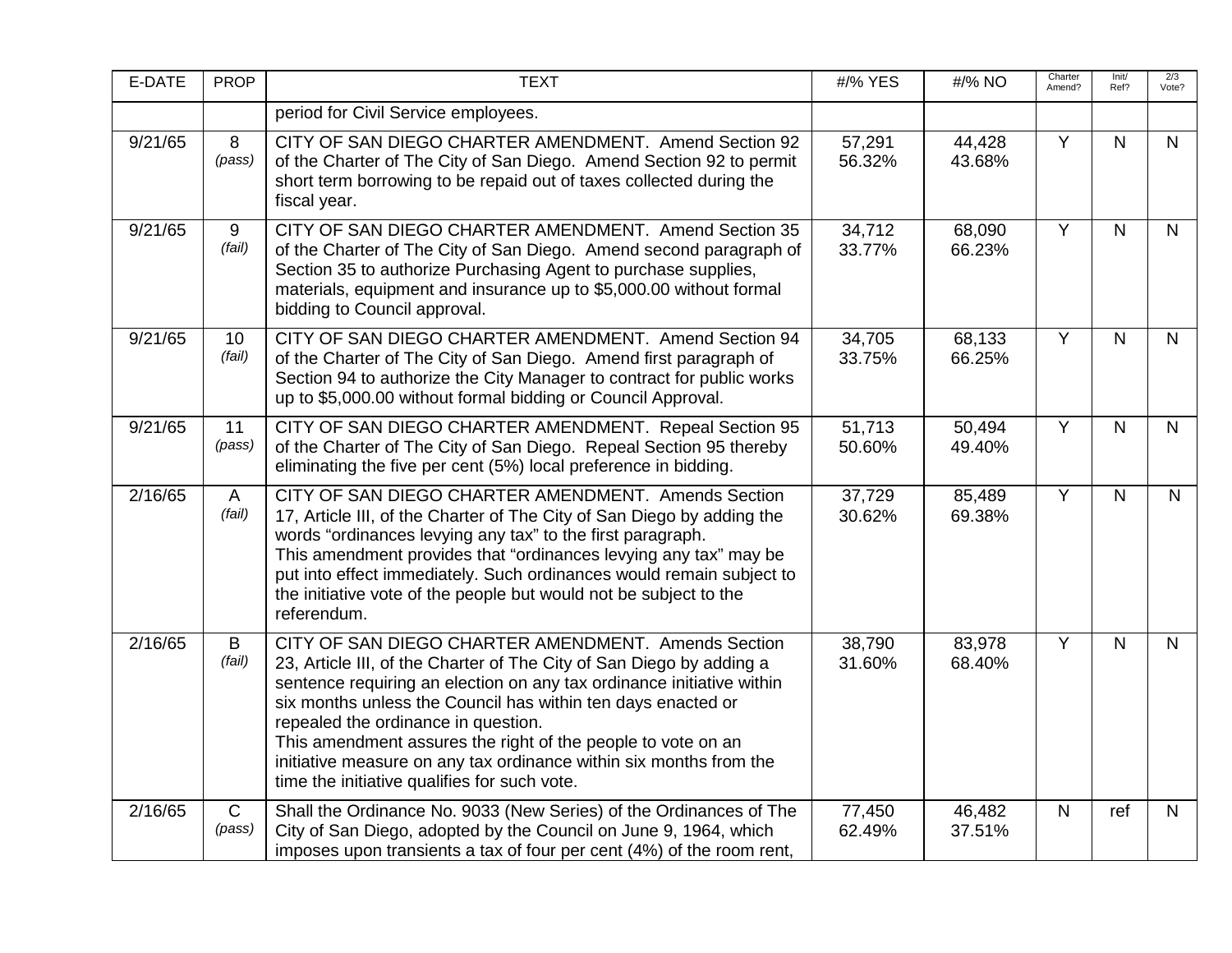| E-DATE  | <b>PROP</b>            | <b>TEXT</b>                                                                                                                                                                                                                                                                                                                                                                                                                                                                                       | #/% YES          | #/% NO           | Charter<br>Amend? | Init/<br>Ref? | 2/3<br>Vote?   |
|---------|------------------------|---------------------------------------------------------------------------------------------------------------------------------------------------------------------------------------------------------------------------------------------------------------------------------------------------------------------------------------------------------------------------------------------------------------------------------------------------------------------------------------------------|------------------|------------------|-------------------|---------------|----------------|
|         |                        | period for Civil Service employees.                                                                                                                                                                                                                                                                                                                                                                                                                                                               |                  |                  |                   |               |                |
| 9/21/65 | 8<br>(pass)            | CITY OF SAN DIEGO CHARTER AMENDMENT. Amend Section 92<br>of the Charter of The City of San Diego. Amend Section 92 to permit<br>short term borrowing to be repaid out of taxes collected during the<br>fiscal year.                                                                                                                                                                                                                                                                               | 57,291<br>56.32% | 44,428<br>43.68% | Y                 | $\mathsf{N}$  | $\mathsf{N}$   |
| 9/21/65 | 9<br>(fail)            | CITY OF SAN DIEGO CHARTER AMENDMENT. Amend Section 35<br>of the Charter of The City of San Diego. Amend second paragraph of<br>Section 35 to authorize Purchasing Agent to purchase supplies,<br>materials, equipment and insurance up to \$5,000.00 without formal<br>bidding to Council approval.                                                                                                                                                                                               | 34,712<br>33.77% | 68,090<br>66.23% | Y                 | $\mathsf{N}$  | $\mathsf{N}$   |
| 9/21/65 | 10<br>(fail)           | CITY OF SAN DIEGO CHARTER AMENDMENT. Amend Section 94<br>of the Charter of The City of San Diego. Amend first paragraph of<br>Section 94 to authorize the City Manager to contract for public works<br>up to \$5,000.00 without formal bidding or Council Approval.                                                                                                                                                                                                                               | 34,705<br>33.75% | 68,133<br>66.25% | $\overline{Y}$    | $\mathsf{N}$  | $\mathsf{N}$   |
| 9/21/65 | 11<br>(pass)           | CITY OF SAN DIEGO CHARTER AMENDMENT. Repeal Section 95<br>of the Charter of The City of San Diego. Repeal Section 95 thereby<br>eliminating the five per cent (5%) local preference in bidding.                                                                                                                                                                                                                                                                                                   | 51,713<br>50.60% | 50,494<br>49.40% | Y                 | $\mathsf{N}$  | $\mathsf{N}$   |
| 2/16/65 | $\mathsf{A}$<br>(fail) | CITY OF SAN DIEGO CHARTER AMENDMENT. Amends Section<br>17, Article III, of the Charter of The City of San Diego by adding the<br>words "ordinances levying any tax" to the first paragraph.<br>This amendment provides that "ordinances levying any tax" may be<br>put into effect immediately. Such ordinances would remain subject to<br>the initiative vote of the people but would not be subject to the<br>referendum.                                                                       | 37,729<br>30.62% | 85,489<br>69.38% | Y                 | $\mathsf{N}$  | $\overline{N}$ |
| 2/16/65 | B<br>(fail)            | CITY OF SAN DIEGO CHARTER AMENDMENT. Amends Section<br>23, Article III, of the Charter of The City of San Diego by adding a<br>sentence requiring an election on any tax ordinance initiative within<br>six months unless the Council has within ten days enacted or<br>repealed the ordinance in question.<br>This amendment assures the right of the people to vote on an<br>initiative measure on any tax ordinance within six months from the<br>time the initiative qualifies for such vote. | 38,790<br>31.60% | 83,978<br>68.40% | Y                 | $\mathsf{N}$  | $\mathsf{N}$   |
| 2/16/65 | $\mathsf{C}$<br>(pass) | Shall the Ordinance No. 9033 (New Series) of the Ordinances of The<br>City of San Diego, adopted by the Council on June 9, 1964, which<br>imposes upon transients a tax of four per cent (4%) of the room rent,                                                                                                                                                                                                                                                                                   | 77,450<br>62.49% | 46,482<br>37.51% | $\mathsf{N}$      | ref           | $\mathsf{N}$   |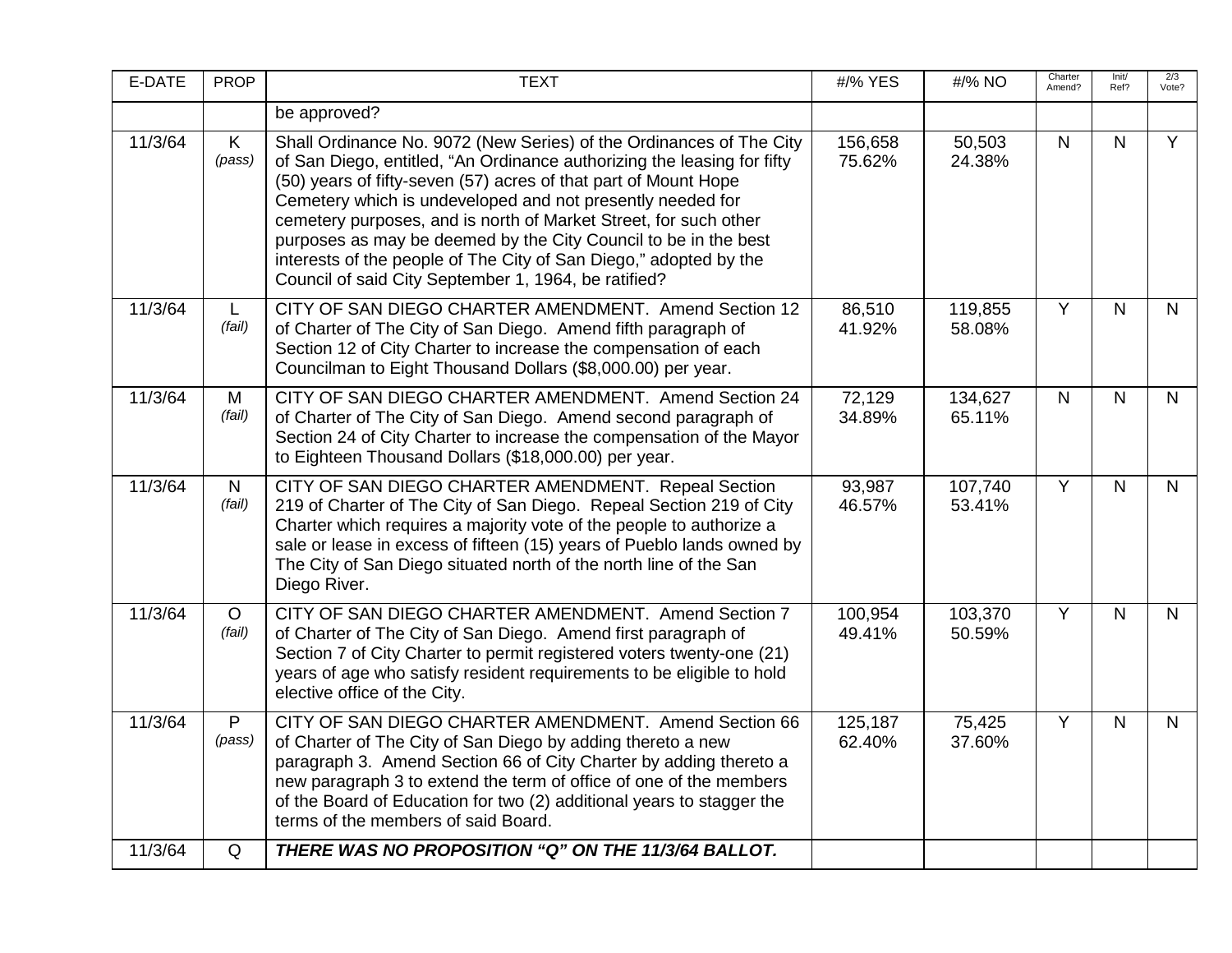| E-DATE  | <b>PROP</b>            | <b>TEXT</b>                                                                                                                                                                                                                                                                                                                                                                                                                                                                                                                                         | #/% YES           | #/% NO            | Charter<br>Amend? | Init/<br>Ref? | 2/3<br>Vote? |
|---------|------------------------|-----------------------------------------------------------------------------------------------------------------------------------------------------------------------------------------------------------------------------------------------------------------------------------------------------------------------------------------------------------------------------------------------------------------------------------------------------------------------------------------------------------------------------------------------------|-------------------|-------------------|-------------------|---------------|--------------|
|         |                        | be approved?                                                                                                                                                                                                                                                                                                                                                                                                                                                                                                                                        |                   |                   |                   |               |              |
| 11/3/64 | K<br>(pass)            | Shall Ordinance No. 9072 (New Series) of the Ordinances of The City<br>of San Diego, entitled, "An Ordinance authorizing the leasing for fifty<br>(50) years of fifty-seven (57) acres of that part of Mount Hope<br>Cemetery which is undeveloped and not presently needed for<br>cemetery purposes, and is north of Market Street, for such other<br>purposes as may be deemed by the City Council to be in the best<br>interests of the people of The City of San Diego," adopted by the<br>Council of said City September 1, 1964, be ratified? | 156,658<br>75.62% | 50,503<br>24.38%  | $\mathsf{N}$      | N             | Y            |
| 11/3/64 | L.<br>(fail)           | CITY OF SAN DIEGO CHARTER AMENDMENT. Amend Section 12<br>of Charter of The City of San Diego. Amend fifth paragraph of<br>Section 12 of City Charter to increase the compensation of each<br>Councilman to Eight Thousand Dollars (\$8,000.00) per year.                                                                                                                                                                                                                                                                                            | 86,510<br>41.92%  | 119,855<br>58.08% | $\overline{Y}$    | $\mathsf{N}$  | $\mathsf{N}$ |
| 11/3/64 | M<br>(fail)            | CITY OF SAN DIEGO CHARTER AMENDMENT. Amend Section 24<br>of Charter of The City of San Diego. Amend second paragraph of<br>Section 24 of City Charter to increase the compensation of the Mayor<br>to Eighteen Thousand Dollars (\$18,000.00) per year.                                                                                                                                                                                                                                                                                             | 72,129<br>34.89%  | 134,627<br>65.11% | $\mathsf{N}$      | $\mathsf{N}$  | $\mathsf{N}$ |
| 11/3/64 | $\mathsf{N}$<br>(fail) | CITY OF SAN DIEGO CHARTER AMENDMENT. Repeal Section<br>219 of Charter of The City of San Diego. Repeal Section 219 of City<br>Charter which requires a majority vote of the people to authorize a<br>sale or lease in excess of fifteen (15) years of Pueblo lands owned by<br>The City of San Diego situated north of the north line of the San<br>Diego River.                                                                                                                                                                                    | 93,987<br>46.57%  | 107,740<br>53.41% | $\overline{Y}$    | $\mathsf{N}$  | $\mathsf{N}$ |
| 11/3/64 | $\circ$<br>(fail)      | CITY OF SAN DIEGO CHARTER AMENDMENT. Amend Section 7<br>of Charter of The City of San Diego. Amend first paragraph of<br>Section 7 of City Charter to permit registered voters twenty-one (21)<br>years of age who satisfy resident requirements to be eligible to hold<br>elective office of the City.                                                                                                                                                                                                                                             | 100,954<br>49.41% | 103,370<br>50.59% | $\overline{Y}$    | $\mathsf{N}$  | $\mathsf{N}$ |
| 11/3/64 | P<br>(pass)            | CITY OF SAN DIEGO CHARTER AMENDMENT. Amend Section 66<br>of Charter of The City of San Diego by adding thereto a new<br>paragraph 3. Amend Section 66 of City Charter by adding thereto a<br>new paragraph 3 to extend the term of office of one of the members<br>of the Board of Education for two (2) additional years to stagger the<br>terms of the members of said Board.                                                                                                                                                                     | 125,187<br>62.40% | 75,425<br>37.60%  | Y                 | N             | $\mathsf{N}$ |
| 11/3/64 | Q                      | THERE WAS NO PROPOSITION "Q" ON THE 11/3/64 BALLOT.                                                                                                                                                                                                                                                                                                                                                                                                                                                                                                 |                   |                   |                   |               |              |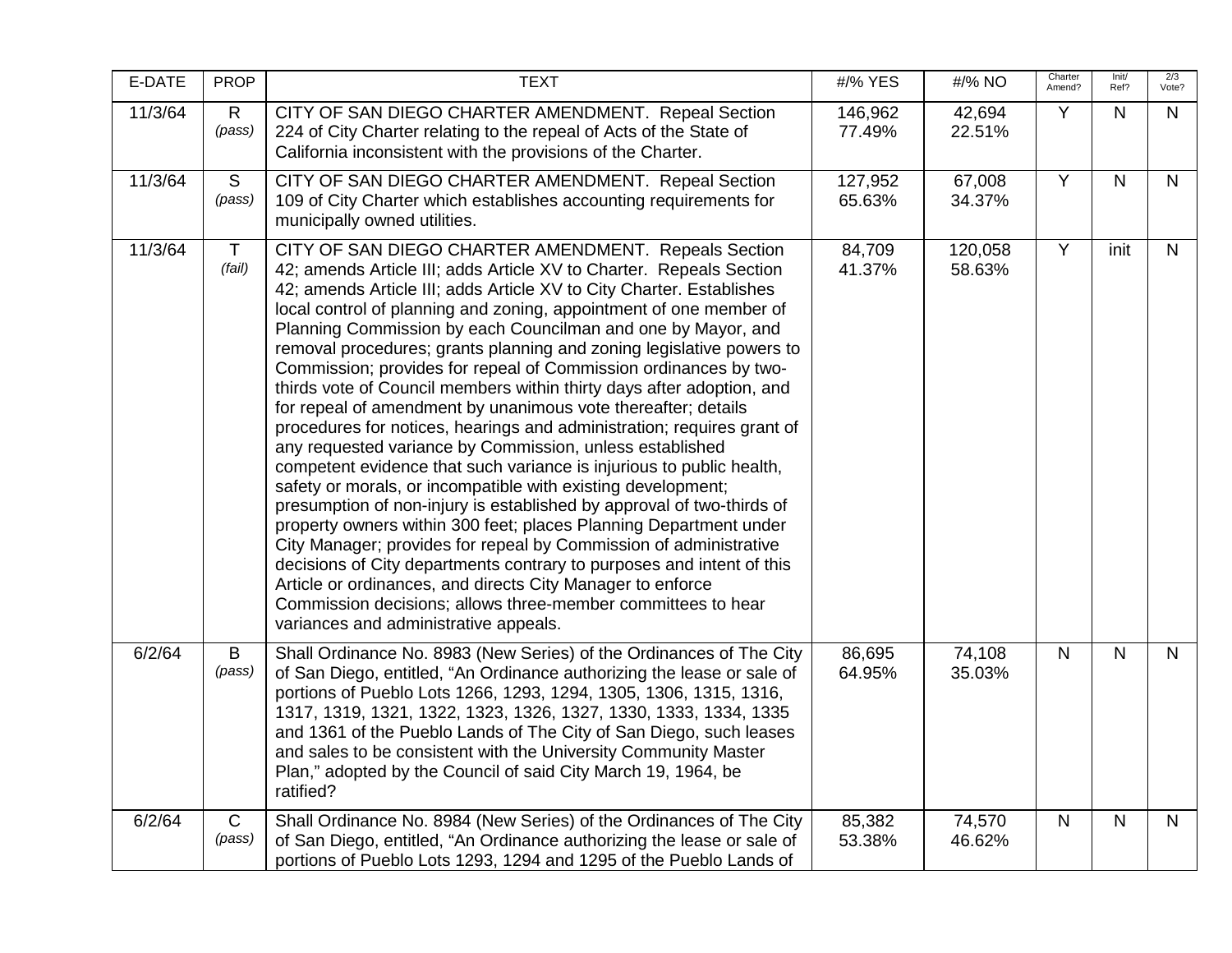| E-DATE  | <b>PROP</b>            | <b>TEXT</b>                                                                                                                                                                                                                                                                                                                                                                                                                                                                                                                                                                                                                                                                                                                                                                                                                                                                                                                                                                                                                                                                                                                                                                                                                                                                                                                                                                      | #/% YES           | #/% NO            | Charter<br>Amend? | Init/<br>Ref?  | 2/3<br>Vote? |
|---------|------------------------|----------------------------------------------------------------------------------------------------------------------------------------------------------------------------------------------------------------------------------------------------------------------------------------------------------------------------------------------------------------------------------------------------------------------------------------------------------------------------------------------------------------------------------------------------------------------------------------------------------------------------------------------------------------------------------------------------------------------------------------------------------------------------------------------------------------------------------------------------------------------------------------------------------------------------------------------------------------------------------------------------------------------------------------------------------------------------------------------------------------------------------------------------------------------------------------------------------------------------------------------------------------------------------------------------------------------------------------------------------------------------------|-------------------|-------------------|-------------------|----------------|--------------|
| 11/3/64 | $\mathsf{R}$<br>(pass) | CITY OF SAN DIEGO CHARTER AMENDMENT. Repeal Section<br>224 of City Charter relating to the repeal of Acts of the State of<br>California inconsistent with the provisions of the Charter.                                                                                                                                                                                                                                                                                                                                                                                                                                                                                                                                                                                                                                                                                                                                                                                                                                                                                                                                                                                                                                                                                                                                                                                         | 146,962<br>77.49% | 42,694<br>22.51%  | Y                 | $\mathsf{N}$   | N            |
| 11/3/64 | S<br>(pass)            | CITY OF SAN DIEGO CHARTER AMENDMENT. Repeal Section<br>109 of City Charter which establishes accounting requirements for<br>municipally owned utilities.                                                                                                                                                                                                                                                                                                                                                                                                                                                                                                                                                                                                                                                                                                                                                                                                                                                                                                                                                                                                                                                                                                                                                                                                                         | 127,952<br>65.63% | 67,008<br>34.37%  | $\overline{Y}$    | $\mathsf{N}$   | $\mathsf{N}$ |
| 11/3/64 | $\mathsf T$<br>(fail)  | CITY OF SAN DIEGO CHARTER AMENDMENT. Repeals Section<br>42; amends Article III; adds Article XV to Charter. Repeals Section<br>42; amends Article III; adds Article XV to City Charter. Establishes<br>local control of planning and zoning, appointment of one member of<br>Planning Commission by each Councilman and one by Mayor, and<br>removal procedures; grants planning and zoning legislative powers to<br>Commission; provides for repeal of Commission ordinances by two-<br>thirds vote of Council members within thirty days after adoption, and<br>for repeal of amendment by unanimous vote thereafter; details<br>procedures for notices, hearings and administration; requires grant of<br>any requested variance by Commission, unless established<br>competent evidence that such variance is injurious to public health,<br>safety or morals, or incompatible with existing development;<br>presumption of non-injury is established by approval of two-thirds of<br>property owners within 300 feet; places Planning Department under<br>City Manager; provides for repeal by Commission of administrative<br>decisions of City departments contrary to purposes and intent of this<br>Article or ordinances, and directs City Manager to enforce<br>Commission decisions; allows three-member committees to hear<br>variances and administrative appeals. | 84,709<br>41.37%  | 120,058<br>58.63% | $\overline{Y}$    | init           | $\mathsf{N}$ |
| 6/2/64  | B<br>(pass)            | Shall Ordinance No. 8983 (New Series) of the Ordinances of The City<br>of San Diego, entitled, "An Ordinance authorizing the lease or sale of<br>portions of Pueblo Lots 1266, 1293, 1294, 1305, 1306, 1315, 1316,<br>1317, 1319, 1321, 1322, 1323, 1326, 1327, 1330, 1333, 1334, 1335<br>and 1361 of the Pueblo Lands of The City of San Diego, such leases<br>and sales to be consistent with the University Community Master<br>Plan," adopted by the Council of said City March 19, 1964, be<br>ratified?                                                                                                                                                                                                                                                                                                                                                                                                                                                                                                                                                                                                                                                                                                                                                                                                                                                                    | 86,695<br>64.95%  | 74,108<br>35.03%  | $\overline{N}$    | $\overline{N}$ | $\mathsf{N}$ |
| 6/2/64  | $\mathsf{C}$<br>(pass) | Shall Ordinance No. 8984 (New Series) of the Ordinances of The City<br>of San Diego, entitled, "An Ordinance authorizing the lease or sale of<br>portions of Pueblo Lots 1293, 1294 and 1295 of the Pueblo Lands of                                                                                                                                                                                                                                                                                                                                                                                                                                                                                                                                                                                                                                                                                                                                                                                                                                                                                                                                                                                                                                                                                                                                                              | 85,382<br>53.38%  | 74,570<br>46.62%  | $\mathsf{N}$      | $\mathsf{N}$   | N            |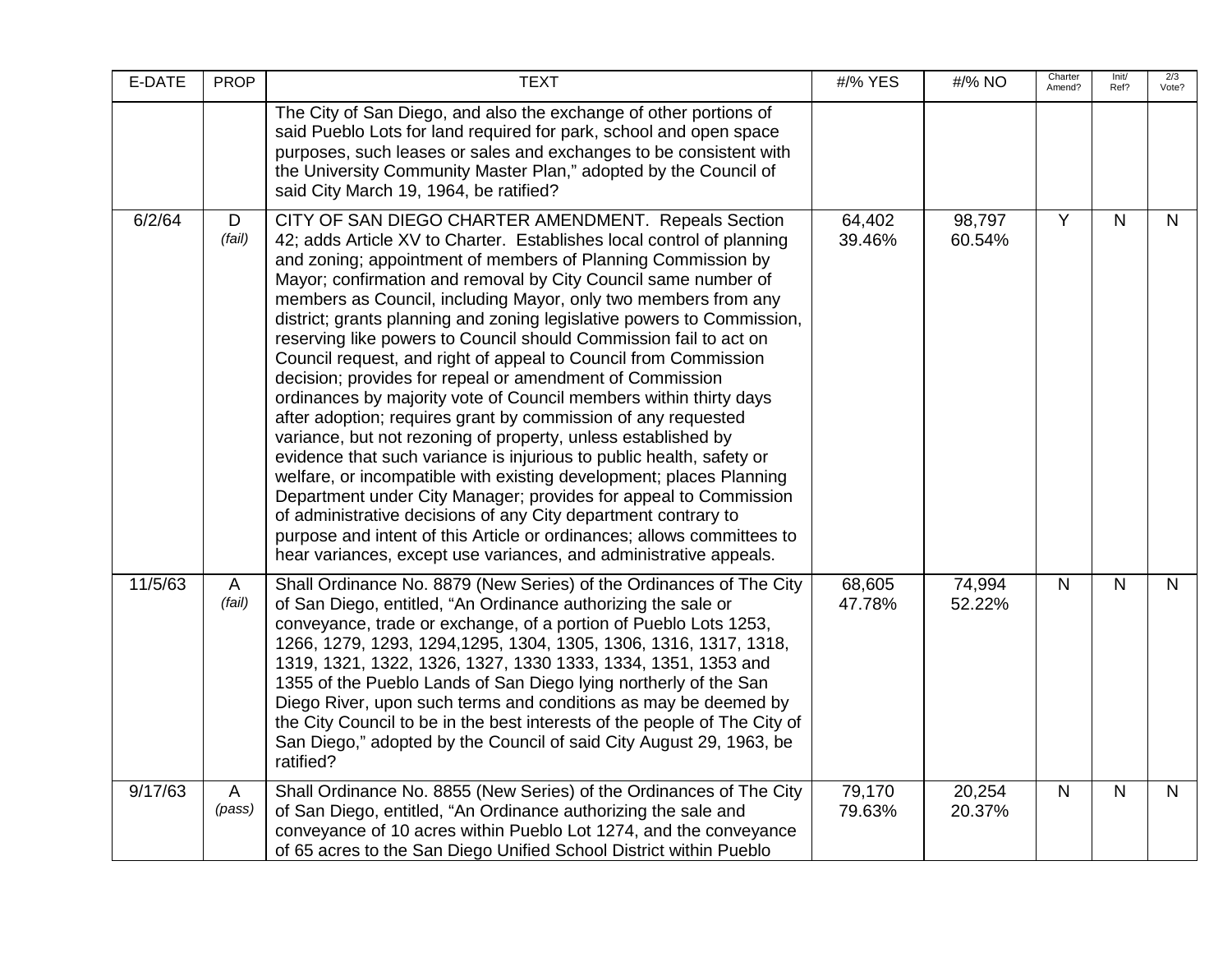| E-DATE  | <b>PROP</b>            | <b>TEXT</b>                                                                                                                                                                                                                                                                                                                                                                                                                                                                                                                                                                                                                                                                                                                                                                                                                                                                                                                                                                                                                                                                                                                                                                                                                                                | #/% YES          | #/% NO           | Charter<br>Amend? | Init/<br>Ref? | 2/3<br>Vote? |
|---------|------------------------|------------------------------------------------------------------------------------------------------------------------------------------------------------------------------------------------------------------------------------------------------------------------------------------------------------------------------------------------------------------------------------------------------------------------------------------------------------------------------------------------------------------------------------------------------------------------------------------------------------------------------------------------------------------------------------------------------------------------------------------------------------------------------------------------------------------------------------------------------------------------------------------------------------------------------------------------------------------------------------------------------------------------------------------------------------------------------------------------------------------------------------------------------------------------------------------------------------------------------------------------------------|------------------|------------------|-------------------|---------------|--------------|
|         |                        | The City of San Diego, and also the exchange of other portions of<br>said Pueblo Lots for land required for park, school and open space<br>purposes, such leases or sales and exchanges to be consistent with<br>the University Community Master Plan," adopted by the Council of<br>said City March 19, 1964, be ratified?                                                                                                                                                                                                                                                                                                                                                                                                                                                                                                                                                                                                                                                                                                                                                                                                                                                                                                                                |                  |                  |                   |               |              |
| 6/2/64  | D<br>(fail)            | CITY OF SAN DIEGO CHARTER AMENDMENT. Repeals Section<br>42; adds Article XV to Charter. Establishes local control of planning<br>and zoning; appointment of members of Planning Commission by<br>Mayor; confirmation and removal by City Council same number of<br>members as Council, including Mayor, only two members from any<br>district; grants planning and zoning legislative powers to Commission,<br>reserving like powers to Council should Commission fail to act on<br>Council request, and right of appeal to Council from Commission<br>decision; provides for repeal or amendment of Commission<br>ordinances by majority vote of Council members within thirty days<br>after adoption; requires grant by commission of any requested<br>variance, but not rezoning of property, unless established by<br>evidence that such variance is injurious to public health, safety or<br>welfare, or incompatible with existing development; places Planning<br>Department under City Manager; provides for appeal to Commission<br>of administrative decisions of any City department contrary to<br>purpose and intent of this Article or ordinances; allows committees to<br>hear variances, except use variances, and administrative appeals. | 64,402<br>39.46% | 98,797<br>60.54% | Y                 | $\mathsf{N}$  | $\mathsf{N}$ |
| 11/5/63 | $\mathsf{A}$<br>(fail) | Shall Ordinance No. 8879 (New Series) of the Ordinances of The City<br>of San Diego, entitled, "An Ordinance authorizing the sale or<br>conveyance, trade or exchange, of a portion of Pueblo Lots 1253,<br>1266, 1279, 1293, 1294, 1295, 1304, 1305, 1306, 1316, 1317, 1318,<br>1319, 1321, 1322, 1326, 1327, 1330 1333, 1334, 1351, 1353 and<br>1355 of the Pueblo Lands of San Diego lying northerly of the San<br>Diego River, upon such terms and conditions as may be deemed by<br>the City Council to be in the best interests of the people of The City of<br>San Diego," adopted by the Council of said City August 29, 1963, be<br>ratified?                                                                                                                                                                                                                                                                                                                                                                                                                                                                                                                                                                                                     | 68,605<br>47.78% | 74,994<br>52.22% | $\mathsf{N}$      | N.            | $\mathsf{N}$ |
| 9/17/63 | A<br>(pass)            | Shall Ordinance No. 8855 (New Series) of the Ordinances of The City<br>of San Diego, entitled, "An Ordinance authorizing the sale and<br>conveyance of 10 acres within Pueblo Lot 1274, and the conveyance<br>of 65 acres to the San Diego Unified School District within Pueblo                                                                                                                                                                                                                                                                                                                                                                                                                                                                                                                                                                                                                                                                                                                                                                                                                                                                                                                                                                           | 79,170<br>79.63% | 20,254<br>20.37% | $\mathsf{N}$      | N             | $\mathsf{N}$ |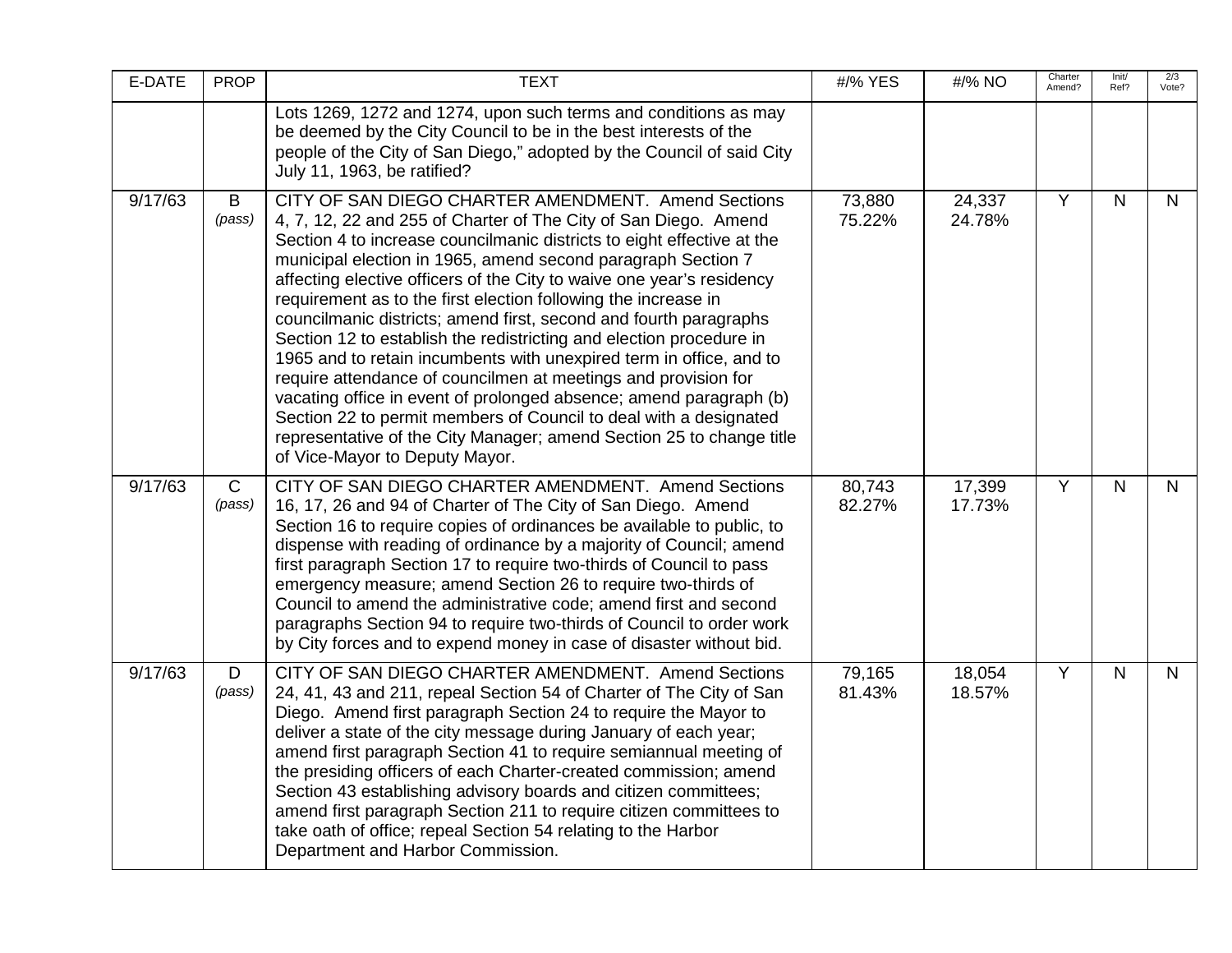| E-DATE  | <b>PROP</b>            | <b>TEXT</b>                                                                                                                                                                                                                                                                                                                                                                                                                                                                                                                                                                                                                                                                                                                                                                                                                                                                                                                                           | #/% YES          | #/% NO           | Charter<br>Amend? | Init/<br>Ref? | 2/3<br>Vote?   |
|---------|------------------------|-------------------------------------------------------------------------------------------------------------------------------------------------------------------------------------------------------------------------------------------------------------------------------------------------------------------------------------------------------------------------------------------------------------------------------------------------------------------------------------------------------------------------------------------------------------------------------------------------------------------------------------------------------------------------------------------------------------------------------------------------------------------------------------------------------------------------------------------------------------------------------------------------------------------------------------------------------|------------------|------------------|-------------------|---------------|----------------|
|         |                        | Lots 1269, 1272 and 1274, upon such terms and conditions as may<br>be deemed by the City Council to be in the best interests of the<br>people of the City of San Diego," adopted by the Council of said City<br>July 11, 1963, be ratified?                                                                                                                                                                                                                                                                                                                                                                                                                                                                                                                                                                                                                                                                                                           |                  |                  |                   |               |                |
| 9/17/63 | B<br>(pass)            | CITY OF SAN DIEGO CHARTER AMENDMENT. Amend Sections<br>4, 7, 12, 22 and 255 of Charter of The City of San Diego. Amend<br>Section 4 to increase councilmanic districts to eight effective at the<br>municipal election in 1965, amend second paragraph Section 7<br>affecting elective officers of the City to waive one year's residency<br>requirement as to the first election following the increase in<br>councilmanic districts; amend first, second and fourth paragraphs<br>Section 12 to establish the redistricting and election procedure in<br>1965 and to retain incumbents with unexpired term in office, and to<br>require attendance of councilmen at meetings and provision for<br>vacating office in event of prolonged absence; amend paragraph (b)<br>Section 22 to permit members of Council to deal with a designated<br>representative of the City Manager; amend Section 25 to change title<br>of Vice-Mayor to Deputy Mayor. | 73,880<br>75.22% | 24,337<br>24.78% | Y                 | $\mathsf{N}$  | $\mathsf{N}$   |
| 9/17/63 | $\mathsf{C}$<br>(pass) | CITY OF SAN DIEGO CHARTER AMENDMENT. Amend Sections<br>16, 17, 26 and 94 of Charter of The City of San Diego. Amend<br>Section 16 to require copies of ordinances be available to public, to<br>dispense with reading of ordinance by a majority of Council; amend<br>first paragraph Section 17 to require two-thirds of Council to pass<br>emergency measure; amend Section 26 to require two-thirds of<br>Council to amend the administrative code; amend first and second<br>paragraphs Section 94 to require two-thirds of Council to order work<br>by City forces and to expend money in case of disaster without bid.                                                                                                                                                                                                                                                                                                                          | 80,743<br>82.27% | 17,399<br>17.73% | Y                 | $\mathsf{N}$  | N.             |
| 9/17/63 | D<br>(pass)            | CITY OF SAN DIEGO CHARTER AMENDMENT. Amend Sections<br>24, 41, 43 and 211, repeal Section 54 of Charter of The City of San<br>Diego. Amend first paragraph Section 24 to require the Mayor to<br>deliver a state of the city message during January of each year;<br>amend first paragraph Section 41 to require semiannual meeting of<br>the presiding officers of each Charter-created commission; amend<br>Section 43 establishing advisory boards and citizen committees;<br>amend first paragraph Section 211 to require citizen committees to<br>take oath of office; repeal Section 54 relating to the Harbor<br>Department and Harbor Commission.                                                                                                                                                                                                                                                                                             | 79,165<br>81.43% | 18,054<br>18.57% | $\overline{Y}$    | $\mathsf{N}$  | $\overline{N}$ |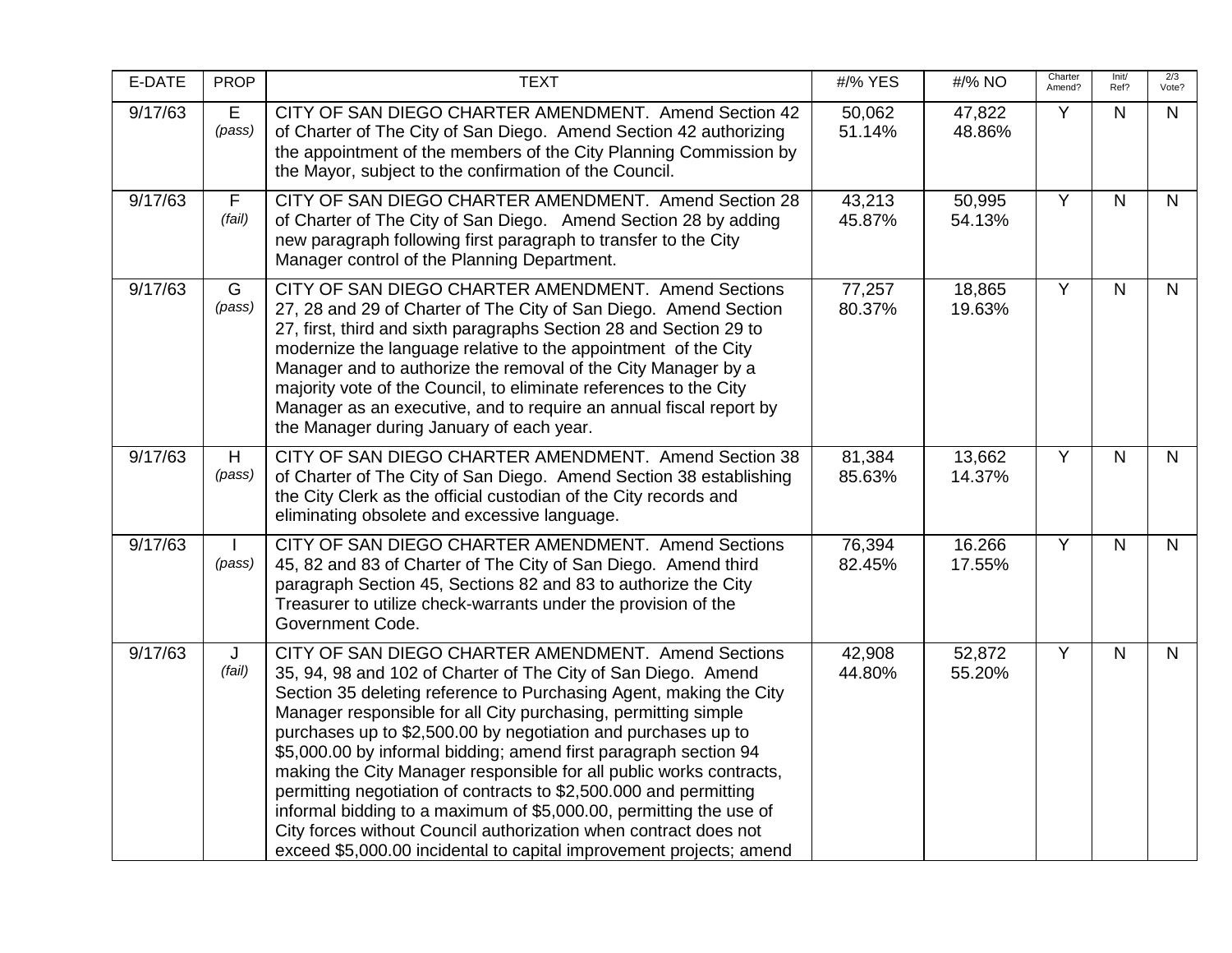| E-DATE  | <b>PROP</b>           | <b>TEXT</b>                                                                                                                                                                                                                                                                                                                                                                                                                                                                                                                                                                                                                                                                                                                                                    | #/% YES          | #/% NO           | Charter<br>Amend? | Init/<br>Ref?  | 2/3<br>Vote? |
|---------|-----------------------|----------------------------------------------------------------------------------------------------------------------------------------------------------------------------------------------------------------------------------------------------------------------------------------------------------------------------------------------------------------------------------------------------------------------------------------------------------------------------------------------------------------------------------------------------------------------------------------------------------------------------------------------------------------------------------------------------------------------------------------------------------------|------------------|------------------|-------------------|----------------|--------------|
| 9/17/63 | E<br>(pass)           | CITY OF SAN DIEGO CHARTER AMENDMENT. Amend Section 42<br>of Charter of The City of San Diego. Amend Section 42 authorizing<br>the appointment of the members of the City Planning Commission by<br>the Mayor, subject to the confirmation of the Council.                                                                                                                                                                                                                                                                                                                                                                                                                                                                                                      | 50,062<br>51.14% | 47,822<br>48.86% | Y                 | N.             | N            |
| 9/17/63 | $\mathsf F$<br>(fail) | CITY OF SAN DIEGO CHARTER AMENDMENT. Amend Section 28<br>of Charter of The City of San Diego. Amend Section 28 by adding<br>new paragraph following first paragraph to transfer to the City<br>Manager control of the Planning Department.                                                                                                                                                                                                                                                                                                                                                                                                                                                                                                                     | 43,213<br>45.87% | 50,995<br>54.13% | $\overline{Y}$    | N              | $\mathsf{N}$ |
| 9/17/63 | G<br>(pass)           | CITY OF SAN DIEGO CHARTER AMENDMENT. Amend Sections<br>27, 28 and 29 of Charter of The City of San Diego. Amend Section<br>27, first, third and sixth paragraphs Section 28 and Section 29 to<br>modernize the language relative to the appointment of the City<br>Manager and to authorize the removal of the City Manager by a<br>majority vote of the Council, to eliminate references to the City<br>Manager as an executive, and to require an annual fiscal report by<br>the Manager during January of each year.                                                                                                                                                                                                                                        | 77,257<br>80.37% | 18,865<br>19.63% | Y                 | $\mathsf{N}$   | $\mathsf{N}$ |
| 9/17/63 | H<br>(pass)           | CITY OF SAN DIEGO CHARTER AMENDMENT. Amend Section 38<br>of Charter of The City of San Diego. Amend Section 38 establishing<br>the City Clerk as the official custodian of the City records and<br>eliminating obsolete and excessive language.                                                                                                                                                                                                                                                                                                                                                                                                                                                                                                                | 81,384<br>85.63% | 13,662<br>14.37% | $\overline{Y}$    | $\overline{N}$ | $\mathsf{N}$ |
| 9/17/63 | (pass)                | CITY OF SAN DIEGO CHARTER AMENDMENT. Amend Sections<br>45, 82 and 83 of Charter of The City of San Diego. Amend third<br>paragraph Section 45, Sections 82 and 83 to authorize the City<br>Treasurer to utilize check-warrants under the provision of the<br>Government Code.                                                                                                                                                                                                                                                                                                                                                                                                                                                                                  | 76,394<br>82.45% | 16.266<br>17.55% | Y                 | N.             | $\mathsf{N}$ |
| 9/17/63 | J<br>(fail)           | CITY OF SAN DIEGO CHARTER AMENDMENT. Amend Sections<br>35, 94, 98 and 102 of Charter of The City of San Diego. Amend<br>Section 35 deleting reference to Purchasing Agent, making the City<br>Manager responsible for all City purchasing, permitting simple<br>purchases up to \$2,500.00 by negotiation and purchases up to<br>\$5,000.00 by informal bidding; amend first paragraph section 94<br>making the City Manager responsible for all public works contracts,<br>permitting negotiation of contracts to \$2,500.000 and permitting<br>informal bidding to a maximum of \$5,000.00, permitting the use of<br>City forces without Council authorization when contract does not<br>exceed \$5,000.00 incidental to capital improvement projects; amend | 42,908<br>44.80% | 52,872<br>55.20% | Y                 | N.             | $\mathsf{N}$ |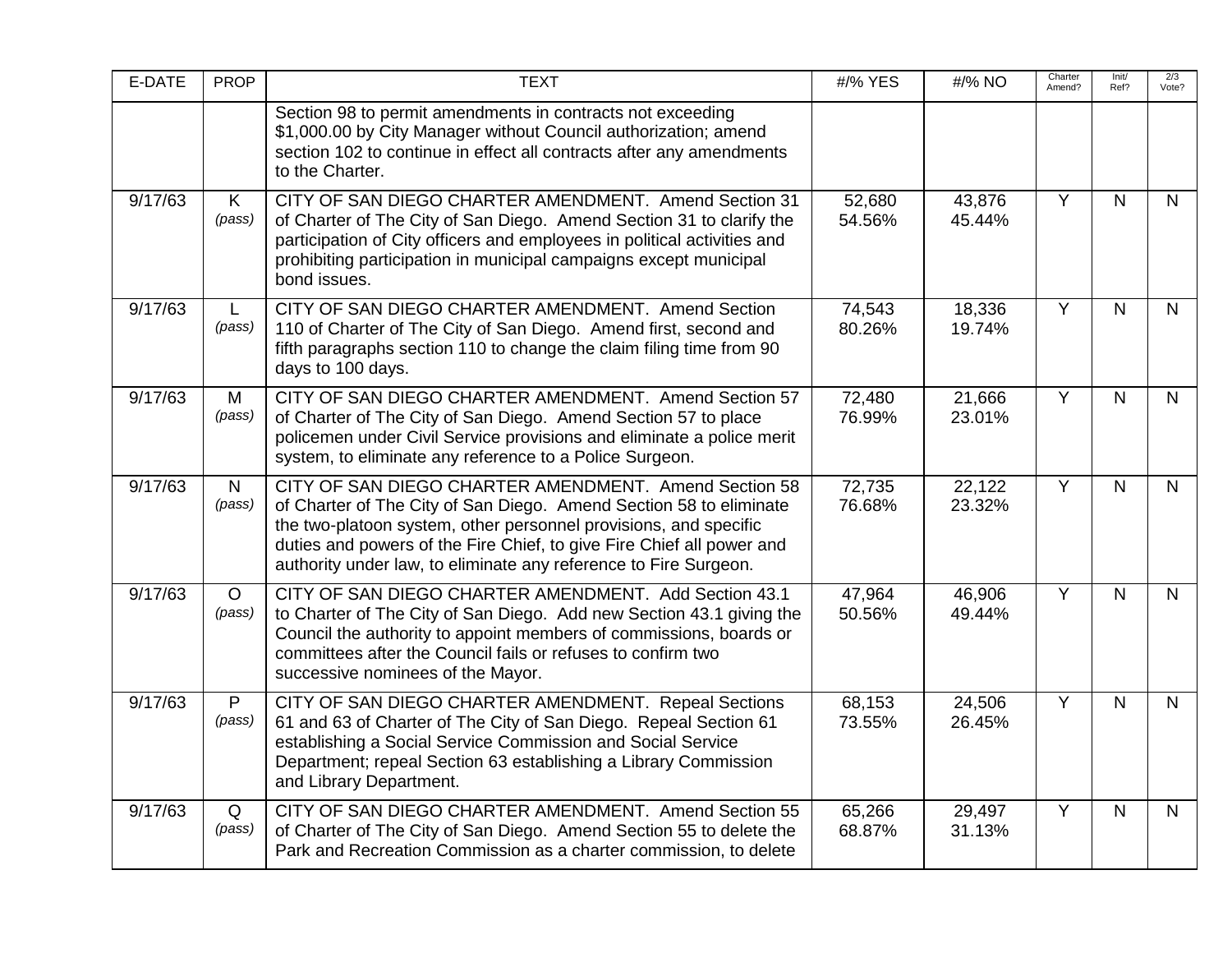| E-DATE  | <b>PROP</b>            | <b>TEXT</b>                                                                                                                                                                                                                                                                                                                                  | #/% YES          | #/% NO           | Charter<br>Amend? | Init/<br>Ref? | 2/3<br>Vote? |
|---------|------------------------|----------------------------------------------------------------------------------------------------------------------------------------------------------------------------------------------------------------------------------------------------------------------------------------------------------------------------------------------|------------------|------------------|-------------------|---------------|--------------|
|         |                        | Section 98 to permit amendments in contracts not exceeding<br>\$1,000.00 by City Manager without Council authorization; amend<br>section 102 to continue in effect all contracts after any amendments<br>to the Charter.                                                                                                                     |                  |                  |                   |               |              |
| 9/17/63 | K<br>(pass)            | CITY OF SAN DIEGO CHARTER AMENDMENT. Amend Section 31<br>of Charter of The City of San Diego. Amend Section 31 to clarify the<br>participation of City officers and employees in political activities and<br>prohibiting participation in municipal campaigns except municipal<br>bond issues.                                               | 52,680<br>54.56% | 43,876<br>45.44% | Y                 | $\mathsf{N}$  | $\mathsf{N}$ |
| 9/17/63 | L.<br>(pass)           | CITY OF SAN DIEGO CHARTER AMENDMENT. Amend Section<br>110 of Charter of The City of San Diego. Amend first, second and<br>fifth paragraphs section 110 to change the claim filing time from 90<br>days to 100 days.                                                                                                                          | 74,543<br>80.26% | 18,336<br>19.74% | Y                 | N.            | $\mathsf{N}$ |
| 9/17/63 | М<br>(pass)            | CITY OF SAN DIEGO CHARTER AMENDMENT. Amend Section 57<br>of Charter of The City of San Diego. Amend Section 57 to place<br>policemen under Civil Service provisions and eliminate a police merit<br>system, to eliminate any reference to a Police Surgeon.                                                                                  | 72,480<br>76.99% | 21,666<br>23.01% | Y                 | N.            | N            |
| 9/17/63 | $\mathsf{N}$<br>(pass) | CITY OF SAN DIEGO CHARTER AMENDMENT. Amend Section 58<br>of Charter of The City of San Diego. Amend Section 58 to eliminate<br>the two-platoon system, other personnel provisions, and specific<br>duties and powers of the Fire Chief, to give Fire Chief all power and<br>authority under law, to eliminate any reference to Fire Surgeon. | 72,735<br>76.68% | 22,122<br>23.32% | $\overline{Y}$    | N.            | $\mathsf{N}$ |
| 9/17/63 | $\circ$<br>(pass)      | CITY OF SAN DIEGO CHARTER AMENDMENT. Add Section 43.1<br>to Charter of The City of San Diego. Add new Section 43.1 giving the<br>Council the authority to appoint members of commissions, boards or<br>committees after the Council fails or refuses to confirm two<br>successive nominees of the Mayor.                                     | 47,964<br>50.56% | 46,906<br>49.44% | Y                 | N.            | N            |
| 9/17/63 | P<br>(pass)            | CITY OF SAN DIEGO CHARTER AMENDMENT. Repeal Sections<br>61 and 63 of Charter of The City of San Diego. Repeal Section 61<br>establishing a Social Service Commission and Social Service<br>Department; repeal Section 63 establishing a Library Commission<br>and Library Department.                                                        | 68,153<br>73.55% | 24,506<br>26.45% | Y                 | N.            | N.           |
| 9/17/63 | Q<br>(pass)            | CITY OF SAN DIEGO CHARTER AMENDMENT. Amend Section 55<br>of Charter of The City of San Diego. Amend Section 55 to delete the<br>Park and Recreation Commission as a charter commission, to delete                                                                                                                                            | 65,266<br>68.87% | 29,497<br>31.13% | $\overline{Y}$    | N             | N            |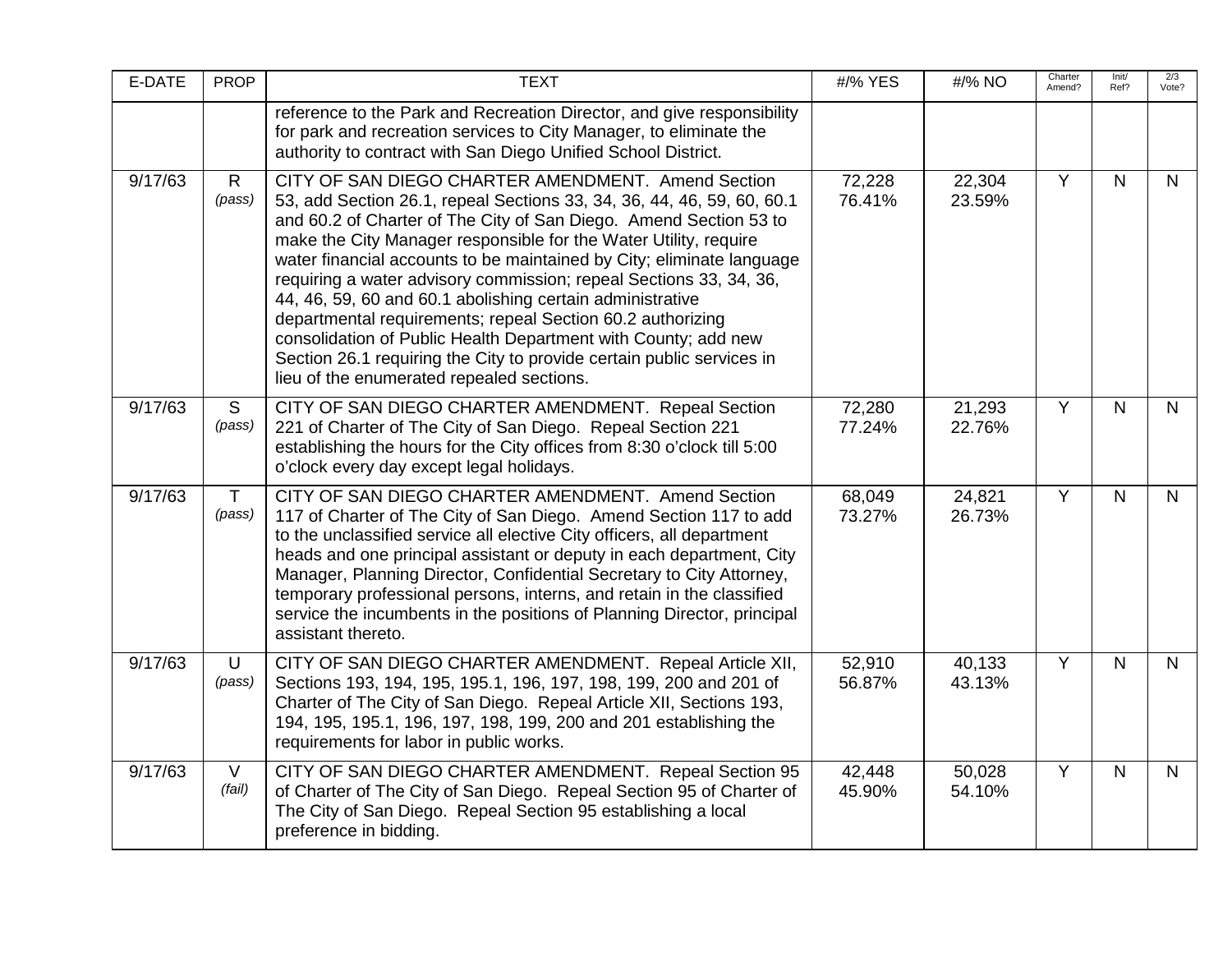| E-DATE  | <b>PROP</b>            | <b>TEXT</b>                                                                                                                                                                                                                                                                                                                                                                                                                                                                                                                                                                                                                                                                                                                             | #/% YES          | #/% NO           | Charter<br>Amend? | Init/<br>Ref?  | 2/3<br>Vote? |
|---------|------------------------|-----------------------------------------------------------------------------------------------------------------------------------------------------------------------------------------------------------------------------------------------------------------------------------------------------------------------------------------------------------------------------------------------------------------------------------------------------------------------------------------------------------------------------------------------------------------------------------------------------------------------------------------------------------------------------------------------------------------------------------------|------------------|------------------|-------------------|----------------|--------------|
|         |                        | reference to the Park and Recreation Director, and give responsibility<br>for park and recreation services to City Manager, to eliminate the<br>authority to contract with San Diego Unified School District.                                                                                                                                                                                                                                                                                                                                                                                                                                                                                                                           |                  |                  |                   |                |              |
| 9/17/63 | $\mathsf{R}$<br>(pass) | CITY OF SAN DIEGO CHARTER AMENDMENT. Amend Section<br>53, add Section 26.1, repeal Sections 33, 34, 36, 44, 46, 59, 60, 60.1<br>and 60.2 of Charter of The City of San Diego. Amend Section 53 to<br>make the City Manager responsible for the Water Utility, require<br>water financial accounts to be maintained by City; eliminate language<br>requiring a water advisory commission; repeal Sections 33, 34, 36,<br>44, 46, 59, 60 and 60.1 abolishing certain administrative<br>departmental requirements; repeal Section 60.2 authorizing<br>consolidation of Public Health Department with County; add new<br>Section 26.1 requiring the City to provide certain public services in<br>lieu of the enumerated repealed sections. | 72,228<br>76.41% | 22,304<br>23.59% | Y                 | N.             | N            |
| 9/17/63 | S<br>(pass)            | CITY OF SAN DIEGO CHARTER AMENDMENT. Repeal Section<br>221 of Charter of The City of San Diego. Repeal Section 221<br>establishing the hours for the City offices from 8:30 o'clock till 5:00<br>o'clock every day except legal holidays.                                                                                                                                                                                                                                                                                                                                                                                                                                                                                               | 72,280<br>77.24% | 21,293<br>22.76% | $\overline{Y}$    | $\overline{N}$ | $\mathsf{N}$ |
| 9/17/63 | $\mathsf{T}$<br>(pass) | CITY OF SAN DIEGO CHARTER AMENDMENT. Amend Section<br>117 of Charter of The City of San Diego. Amend Section 117 to add<br>to the unclassified service all elective City officers, all department<br>heads and one principal assistant or deputy in each department, City<br>Manager, Planning Director, Confidential Secretary to City Attorney,<br>temporary professional persons, interns, and retain in the classified<br>service the incumbents in the positions of Planning Director, principal<br>assistant thereto.                                                                                                                                                                                                             | 68,049<br>73.27% | 24,821<br>26.73% | $\overline{Y}$    | $\mathsf{N}$   | $\mathsf{N}$ |
| 9/17/63 | U<br>(pass)            | CITY OF SAN DIEGO CHARTER AMENDMENT. Repeal Article XII,<br>Sections 193, 194, 195, 195.1, 196, 197, 198, 199, 200 and 201 of<br>Charter of The City of San Diego. Repeal Article XII, Sections 193,<br>194, 195, 195.1, 196, 197, 198, 199, 200 and 201 establishing the<br>requirements for labor in public works.                                                                                                                                                                                                                                                                                                                                                                                                                    | 52,910<br>56.87% | 40,133<br>43.13% | $\overline{Y}$    | $\mathsf{N}$   | $\mathsf{N}$ |
| 9/17/63 | $\vee$<br>(fail)       | CITY OF SAN DIEGO CHARTER AMENDMENT. Repeal Section 95<br>of Charter of The City of San Diego. Repeal Section 95 of Charter of<br>The City of San Diego. Repeal Section 95 establishing a local<br>preference in bidding.                                                                                                                                                                                                                                                                                                                                                                                                                                                                                                               | 42,448<br>45.90% | 50,028<br>54.10% | $\overline{Y}$    | N.             | N            |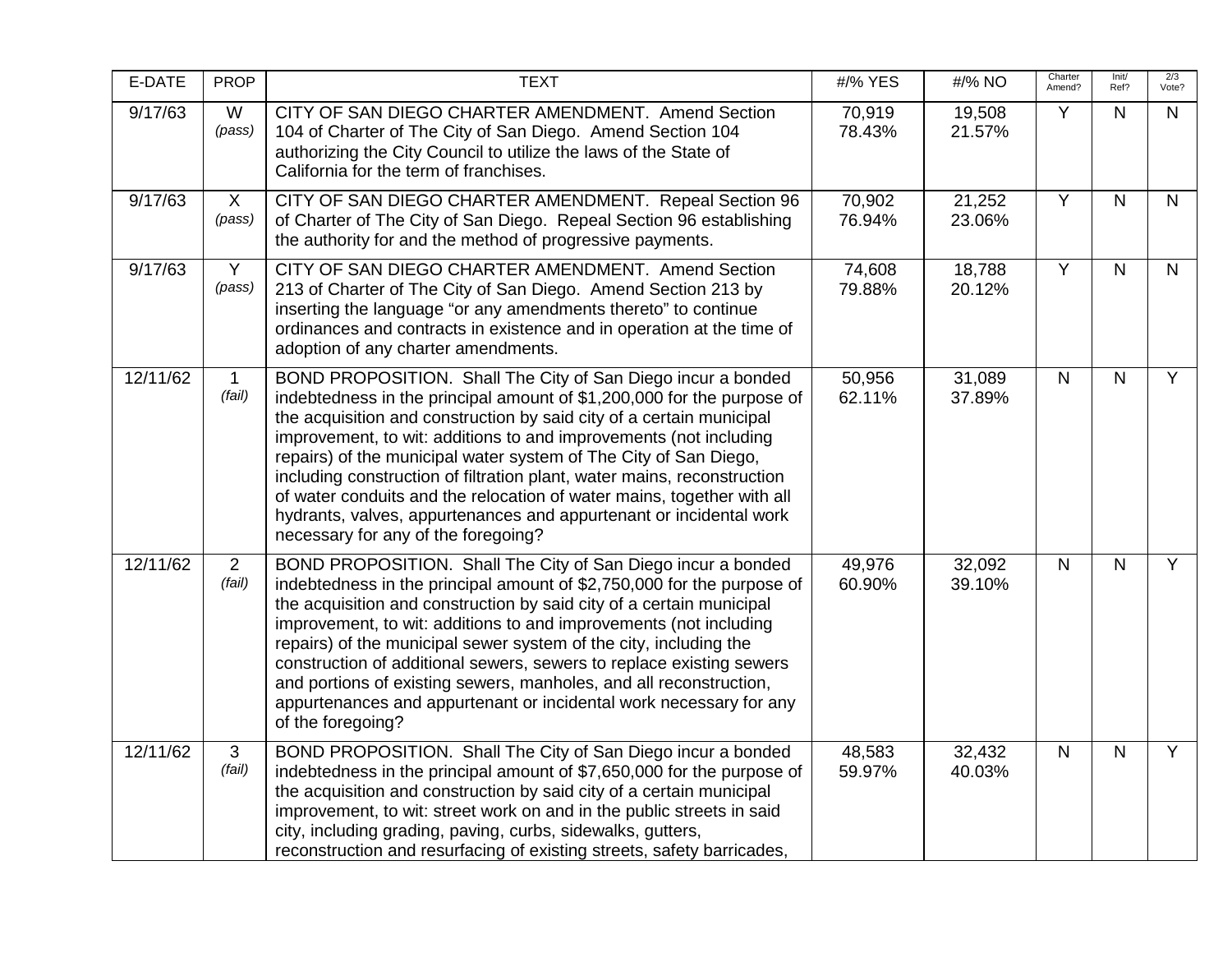| E-DATE   | <b>PROP</b>              | <b>TEXT</b>                                                                                                                                                                                                                                                                                                                                                                                                                                                                                                                                                                                                               | #/% YES          | #/% NO           | Charter<br>Amend? | Init/<br>Ref? | 2/3<br>Vote?   |
|----------|--------------------------|---------------------------------------------------------------------------------------------------------------------------------------------------------------------------------------------------------------------------------------------------------------------------------------------------------------------------------------------------------------------------------------------------------------------------------------------------------------------------------------------------------------------------------------------------------------------------------------------------------------------------|------------------|------------------|-------------------|---------------|----------------|
| 9/17/63  | W<br>(pass)              | CITY OF SAN DIEGO CHARTER AMENDMENT. Amend Section<br>104 of Charter of The City of San Diego. Amend Section 104<br>authorizing the City Council to utilize the laws of the State of<br>California for the term of franchises.                                                                                                                                                                                                                                                                                                                                                                                            | 70,919<br>78.43% | 19,508<br>21.57% | Y                 | N             | N              |
| 9/17/63  | $\mathsf{X}$<br>(pass)   | CITY OF SAN DIEGO CHARTER AMENDMENT. Repeal Section 96<br>of Charter of The City of San Diego. Repeal Section 96 establishing<br>the authority for and the method of progressive payments.                                                                                                                                                                                                                                                                                                                                                                                                                                | 70,902<br>76.94% | 21,252<br>23.06% | $\overline{Y}$    | $\mathsf{N}$  | $\mathsf{N}$   |
| 9/17/63  | Y<br>(pass)              | CITY OF SAN DIEGO CHARTER AMENDMENT. Amend Section<br>213 of Charter of The City of San Diego. Amend Section 213 by<br>inserting the language "or any amendments thereto" to continue<br>ordinances and contracts in existence and in operation at the time of<br>adoption of any charter amendments.                                                                                                                                                                                                                                                                                                                     | 74,608<br>79.88% | 18,788<br>20.12% | Y                 | $\mathsf{N}$  | $\mathsf{N}$   |
| 12/11/62 | 1<br>(fail)              | BOND PROPOSITION. Shall The City of San Diego incur a bonded<br>indebtedness in the principal amount of \$1,200,000 for the purpose of<br>the acquisition and construction by said city of a certain municipal<br>improvement, to wit: additions to and improvements (not including<br>repairs) of the municipal water system of The City of San Diego,<br>including construction of filtration plant, water mains, reconstruction<br>of water conduits and the relocation of water mains, together with all<br>hydrants, valves, appurtenances and appurtenant or incidental work<br>necessary for any of the foregoing? | 50,956<br>62.11% | 31,089<br>37.89% | $\mathsf{N}$      | $\mathsf{N}$  | Y              |
| 12/11/62 | $\overline{2}$<br>(fail) | BOND PROPOSITION. Shall The City of San Diego incur a bonded<br>indebtedness in the principal amount of \$2,750,000 for the purpose of<br>the acquisition and construction by said city of a certain municipal<br>improvement, to wit: additions to and improvements (not including<br>repairs) of the municipal sewer system of the city, including the<br>construction of additional sewers, sewers to replace existing sewers<br>and portions of existing sewers, manholes, and all reconstruction,<br>appurtenances and appurtenant or incidental work necessary for any<br>of the foregoing?                         | 49,976<br>60.90% | 32,092<br>39.10% | $\mathsf{N}$      | $\mathsf{N}$  | $\overline{Y}$ |
| 12/11/62 | $\mathbf{3}$<br>(fail)   | BOND PROPOSITION. Shall The City of San Diego incur a bonded<br>indebtedness in the principal amount of \$7,650,000 for the purpose of<br>the acquisition and construction by said city of a certain municipal<br>improvement, to wit: street work on and in the public streets in said<br>city, including grading, paving, curbs, sidewalks, gutters,<br>reconstruction and resurfacing of existing streets, safety barricades,                                                                                                                                                                                          | 48,583<br>59.97% | 32,432<br>40.03% | $\mathsf{N}$      | $\mathsf{N}$  | Y              |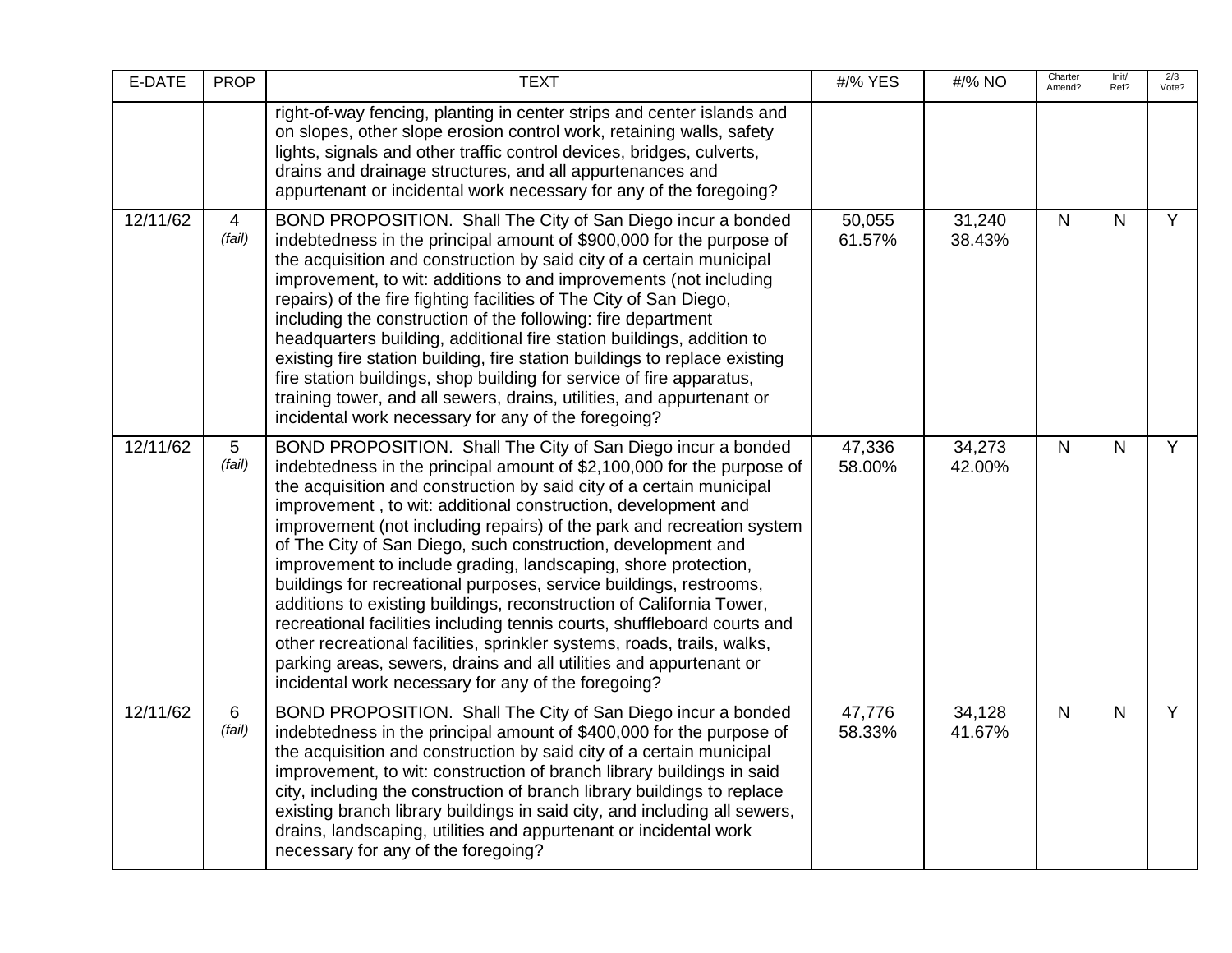| E-DATE   | <b>PROP</b>               | <b>TEXT</b>                                                                                                                                                                                                                                                                                                                                                                                                                                                                                                                                                                                                                                                                                                                                                                                                                                                                                                                  | #/% YES          | #/% NO           | Charter<br>Amend? | Init/<br>Ref? | 2/3<br>Vote?   |
|----------|---------------------------|------------------------------------------------------------------------------------------------------------------------------------------------------------------------------------------------------------------------------------------------------------------------------------------------------------------------------------------------------------------------------------------------------------------------------------------------------------------------------------------------------------------------------------------------------------------------------------------------------------------------------------------------------------------------------------------------------------------------------------------------------------------------------------------------------------------------------------------------------------------------------------------------------------------------------|------------------|------------------|-------------------|---------------|----------------|
|          |                           | right-of-way fencing, planting in center strips and center islands and<br>on slopes, other slope erosion control work, retaining walls, safety<br>lights, signals and other traffic control devices, bridges, culverts,<br>drains and drainage structures, and all appurtenances and<br>appurtenant or incidental work necessary for any of the foregoing?                                                                                                                                                                                                                                                                                                                                                                                                                                                                                                                                                                   |                  |                  |                   |               |                |
| 12/11/62 | $\overline{4}$<br>(fail)  | BOND PROPOSITION. Shall The City of San Diego incur a bonded<br>indebtedness in the principal amount of \$900,000 for the purpose of<br>the acquisition and construction by said city of a certain municipal<br>improvement, to wit: additions to and improvements (not including<br>repairs) of the fire fighting facilities of The City of San Diego,<br>including the construction of the following: fire department<br>headquarters building, additional fire station buildings, addition to<br>existing fire station building, fire station buildings to replace existing<br>fire station buildings, shop building for service of fire apparatus,<br>training tower, and all sewers, drains, utilities, and appurtenant or<br>incidental work necessary for any of the foregoing?                                                                                                                                       | 50,055<br>61.57% | 31,240<br>38.43% | N                 | N             | Y              |
| 12/11/62 | $5\overline{)}$<br>(fail) | BOND PROPOSITION. Shall The City of San Diego incur a bonded<br>indebtedness in the principal amount of \$2,100,000 for the purpose of<br>the acquisition and construction by said city of a certain municipal<br>improvement, to wit: additional construction, development and<br>improvement (not including repairs) of the park and recreation system<br>of The City of San Diego, such construction, development and<br>improvement to include grading, landscaping, shore protection,<br>buildings for recreational purposes, service buildings, restrooms,<br>additions to existing buildings, reconstruction of California Tower,<br>recreational facilities including tennis courts, shuffleboard courts and<br>other recreational facilities, sprinkler systems, roads, trails, walks,<br>parking areas, sewers, drains and all utilities and appurtenant or<br>incidental work necessary for any of the foregoing? | 47,336<br>58.00% | 34,273<br>42.00% | $\mathsf{N}$      | $\mathsf{N}$  | Y              |
| 12/11/62 | $6\phantom{1}$<br>(fail)  | BOND PROPOSITION. Shall The City of San Diego incur a bonded<br>indebtedness in the principal amount of \$400,000 for the purpose of<br>the acquisition and construction by said city of a certain municipal<br>improvement, to wit: construction of branch library buildings in said<br>city, including the construction of branch library buildings to replace<br>existing branch library buildings in said city, and including all sewers,<br>drains, landscaping, utilities and appurtenant or incidental work<br>necessary for any of the foregoing?                                                                                                                                                                                                                                                                                                                                                                    | 47,776<br>58.33% | 34,128<br>41.67% | N                 | $\mathsf{N}$  | $\overline{Y}$ |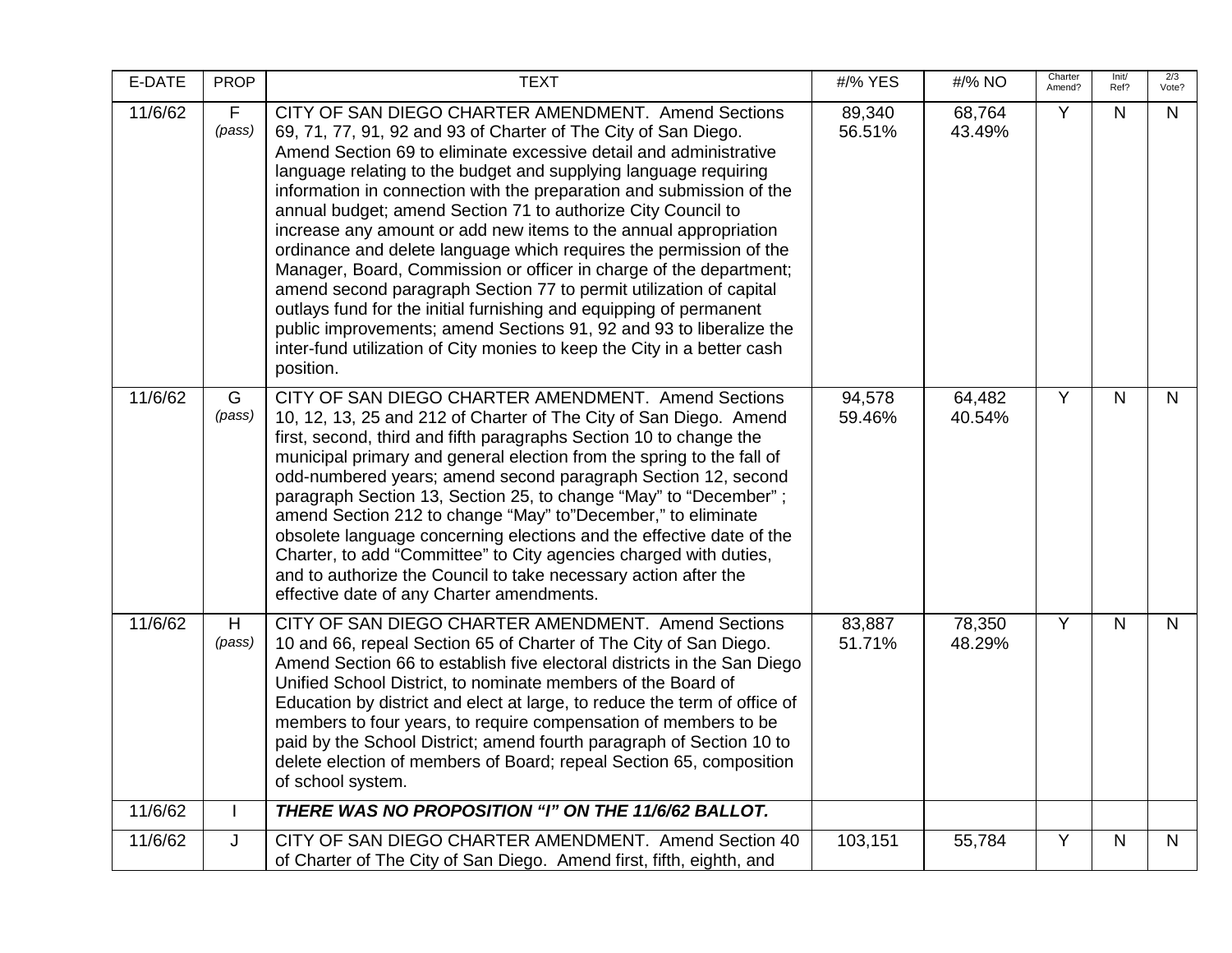| E-DATE  | <b>PROP</b>            | <b>TEXT</b>                                                                                                                                                                                                                                                                                                                                                                                                                                                                                                                                                                                                                                                                                                                                                                                                                                                                                                                       | #/% YES          | #/% NO           | Charter<br>Amend? | Init/<br>Ref? | 2/3<br>Vote? |
|---------|------------------------|-----------------------------------------------------------------------------------------------------------------------------------------------------------------------------------------------------------------------------------------------------------------------------------------------------------------------------------------------------------------------------------------------------------------------------------------------------------------------------------------------------------------------------------------------------------------------------------------------------------------------------------------------------------------------------------------------------------------------------------------------------------------------------------------------------------------------------------------------------------------------------------------------------------------------------------|------------------|------------------|-------------------|---------------|--------------|
| 11/6/62 | $\mathsf{F}$<br>(pass) | CITY OF SAN DIEGO CHARTER AMENDMENT. Amend Sections<br>69, 71, 77, 91, 92 and 93 of Charter of The City of San Diego.<br>Amend Section 69 to eliminate excessive detail and administrative<br>language relating to the budget and supplying language requiring<br>information in connection with the preparation and submission of the<br>annual budget; amend Section 71 to authorize City Council to<br>increase any amount or add new items to the annual appropriation<br>ordinance and delete language which requires the permission of the<br>Manager, Board, Commission or officer in charge of the department;<br>amend second paragraph Section 77 to permit utilization of capital<br>outlays fund for the initial furnishing and equipping of permanent<br>public improvements; amend Sections 91, 92 and 93 to liberalize the<br>inter-fund utilization of City monies to keep the City in a better cash<br>position. | 89,340<br>56.51% | 68,764<br>43.49% | Y                 | $\mathsf{N}$  | N            |
| 11/6/62 | G<br>(pass)            | CITY OF SAN DIEGO CHARTER AMENDMENT. Amend Sections<br>10, 12, 13, 25 and 212 of Charter of The City of San Diego. Amend<br>first, second, third and fifth paragraphs Section 10 to change the<br>municipal primary and general election from the spring to the fall of<br>odd-numbered years; amend second paragraph Section 12, second<br>paragraph Section 13, Section 25, to change "May" to "December";<br>amend Section 212 to change "May" to"December," to eliminate<br>obsolete language concerning elections and the effective date of the<br>Charter, to add "Committee" to City agencies charged with duties,<br>and to authorize the Council to take necessary action after the<br>effective date of any Charter amendments.                                                                                                                                                                                         | 94,578<br>59.46% | 64,482<br>40.54% | Y                 | $\mathsf{N}$  | $\mathsf{N}$ |
| 11/6/62 | H<br>(pass)            | CITY OF SAN DIEGO CHARTER AMENDMENT. Amend Sections<br>10 and 66, repeal Section 65 of Charter of The City of San Diego.<br>Amend Section 66 to establish five electoral districts in the San Diego<br>Unified School District, to nominate members of the Board of<br>Education by district and elect at large, to reduce the term of office of<br>members to four years, to require compensation of members to be<br>paid by the School District; amend fourth paragraph of Section 10 to<br>delete election of members of Board; repeal Section 65, composition<br>of school system.                                                                                                                                                                                                                                                                                                                                           | 83,887<br>51.71% | 78,350<br>48.29% | Y                 | $\mathsf{N}$  | $\mathsf{N}$ |
| 11/6/62 | $\mathbf{I}$           | THERE WAS NO PROPOSITION "I" ON THE 11/6/62 BALLOT.                                                                                                                                                                                                                                                                                                                                                                                                                                                                                                                                                                                                                                                                                                                                                                                                                                                                               |                  |                  |                   |               |              |
| 11/6/62 | J                      | CITY OF SAN DIEGO CHARTER AMENDMENT. Amend Section 40<br>of Charter of The City of San Diego. Amend first, fifth, eighth, and                                                                                                                                                                                                                                                                                                                                                                                                                                                                                                                                                                                                                                                                                                                                                                                                     | 103,151          | 55,784           | Y                 | $\mathsf{N}$  | N            |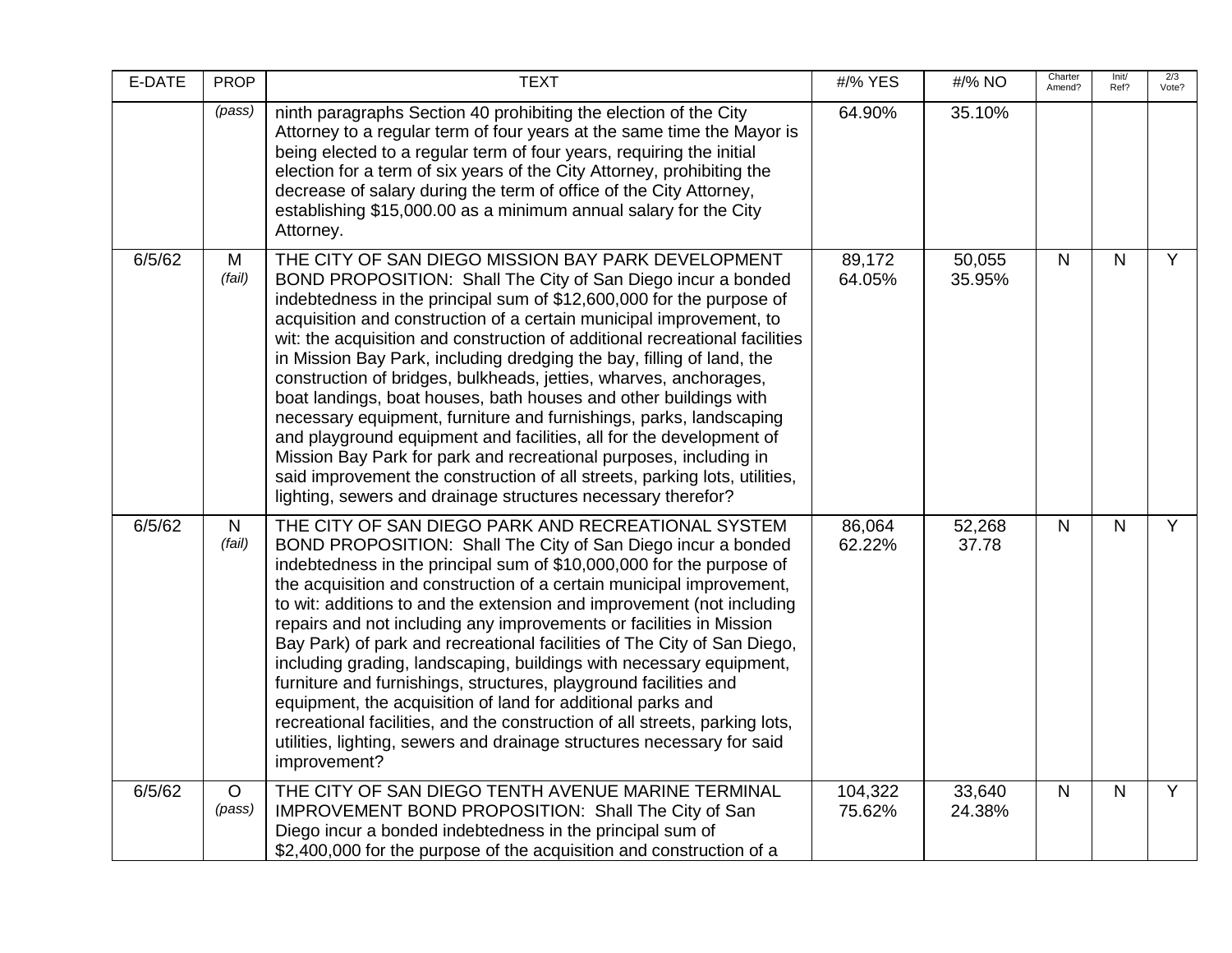| E-DATE | <b>PROP</b>       | <b>TEXT</b>                                                                                                                                                                                                                                                                                                                                                                                                                                                                                                                                                                                                                                                                                                                                                                                                                                                                                                                        | #/% YES           | #/% NO           | Charter<br>Amend? | Init/<br>Ref? | 2/3<br>Vote?   |
|--------|-------------------|------------------------------------------------------------------------------------------------------------------------------------------------------------------------------------------------------------------------------------------------------------------------------------------------------------------------------------------------------------------------------------------------------------------------------------------------------------------------------------------------------------------------------------------------------------------------------------------------------------------------------------------------------------------------------------------------------------------------------------------------------------------------------------------------------------------------------------------------------------------------------------------------------------------------------------|-------------------|------------------|-------------------|---------------|----------------|
|        | (pass)            | ninth paragraphs Section 40 prohibiting the election of the City<br>Attorney to a regular term of four years at the same time the Mayor is<br>being elected to a regular term of four years, requiring the initial<br>election for a term of six years of the City Attorney, prohibiting the<br>decrease of salary during the term of office of the City Attorney,<br>establishing \$15,000.00 as a minimum annual salary for the City<br>Attorney.                                                                                                                                                                                                                                                                                                                                                                                                                                                                                | 64.90%            | 35.10%           |                   |               |                |
| 6/5/62 | M<br>(fail)       | THE CITY OF SAN DIEGO MISSION BAY PARK DEVELOPMENT<br>BOND PROPOSITION: Shall The City of San Diego incur a bonded<br>indebtedness in the principal sum of \$12,600,000 for the purpose of<br>acquisition and construction of a certain municipal improvement, to<br>wit: the acquisition and construction of additional recreational facilities<br>in Mission Bay Park, including dredging the bay, filling of land, the<br>construction of bridges, bulkheads, jetties, wharves, anchorages,<br>boat landings, boat houses, bath houses and other buildings with<br>necessary equipment, furniture and furnishings, parks, landscaping<br>and playground equipment and facilities, all for the development of<br>Mission Bay Park for park and recreational purposes, including in<br>said improvement the construction of all streets, parking lots, utilities,<br>lighting, sewers and drainage structures necessary therefor? | 89,172<br>64.05%  | 50,055<br>35.95% | $\mathsf{N}$      | $\mathsf{N}$  | $\overline{Y}$ |
| 6/5/62 | N<br>(fail)       | THE CITY OF SAN DIEGO PARK AND RECREATIONAL SYSTEM<br>BOND PROPOSITION: Shall The City of San Diego incur a bonded<br>indebtedness in the principal sum of \$10,000,000 for the purpose of<br>the acquisition and construction of a certain municipal improvement,<br>to wit: additions to and the extension and improvement (not including<br>repairs and not including any improvements or facilities in Mission<br>Bay Park) of park and recreational facilities of The City of San Diego,<br>including grading, landscaping, buildings with necessary equipment,<br>furniture and furnishings, structures, playground facilities and<br>equipment, the acquisition of land for additional parks and<br>recreational facilities, and the construction of all streets, parking lots,<br>utilities, lighting, sewers and drainage structures necessary for said<br>improvement?                                                   | 86,064<br>62.22%  | 52,268<br>37.78  | $\mathsf{N}$      | $\mathsf{N}$  | $\overline{Y}$ |
| 6/5/62 | $\circ$<br>(pass) | THE CITY OF SAN DIEGO TENTH AVENUE MARINE TERMINAL<br>IMPROVEMENT BOND PROPOSITION: Shall The City of San<br>Diego incur a bonded indebtedness in the principal sum of<br>\$2,400,000 for the purpose of the acquisition and construction of a                                                                                                                                                                                                                                                                                                                                                                                                                                                                                                                                                                                                                                                                                     | 104,322<br>75.62% | 33,640<br>24.38% | $\mathsf{N}$      | N             | $\overline{Y}$ |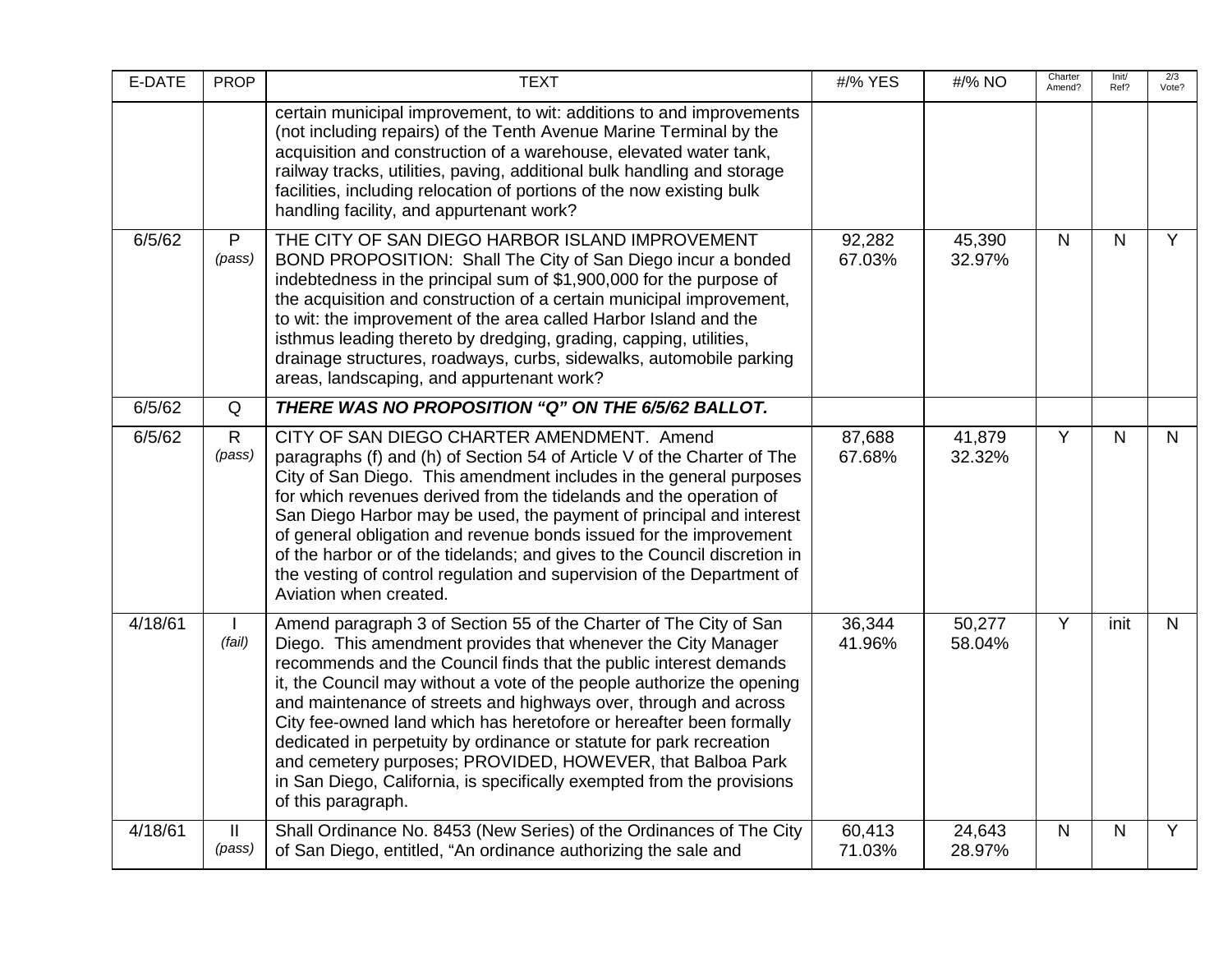| E-DATE  | <b>PROP</b>             | <b>TEXT</b>                                                                                                                                                                                                                                                                                                                                                                                                                                                                                                                                                                                                                                                       | #/% YES          | #/% NO           | Charter<br>Amend? | Init/<br>Ref? | 2/3<br>Vote? |
|---------|-------------------------|-------------------------------------------------------------------------------------------------------------------------------------------------------------------------------------------------------------------------------------------------------------------------------------------------------------------------------------------------------------------------------------------------------------------------------------------------------------------------------------------------------------------------------------------------------------------------------------------------------------------------------------------------------------------|------------------|------------------|-------------------|---------------|--------------|
|         |                         | certain municipal improvement, to wit: additions to and improvements<br>(not including repairs) of the Tenth Avenue Marine Terminal by the<br>acquisition and construction of a warehouse, elevated water tank,<br>railway tracks, utilities, paving, additional bulk handling and storage<br>facilities, including relocation of portions of the now existing bulk<br>handling facility, and appurtenant work?                                                                                                                                                                                                                                                   |                  |                  |                   |               |              |
| 6/5/62  | $\mathsf{P}$<br>(pass)  | THE CITY OF SAN DIEGO HARBOR ISLAND IMPROVEMENT<br>BOND PROPOSITION: Shall The City of San Diego incur a bonded<br>indebtedness in the principal sum of \$1,900,000 for the purpose of<br>the acquisition and construction of a certain municipal improvement,<br>to wit: the improvement of the area called Harbor Island and the<br>isthmus leading thereto by dredging, grading, capping, utilities,<br>drainage structures, roadways, curbs, sidewalks, automobile parking<br>areas, landscaping, and appurtenant work?                                                                                                                                       | 92,282<br>67.03% | 45,390<br>32.97% | $\mathsf{N}$      | $\mathsf{N}$  | Y            |
| 6/5/62  | Q                       | THERE WAS NO PROPOSITION "Q" ON THE 6/5/62 BALLOT.                                                                                                                                                                                                                                                                                                                                                                                                                                                                                                                                                                                                                |                  |                  |                   |               |              |
| 6/5/62  | $\mathsf{R}$<br>(pass)  | CITY OF SAN DIEGO CHARTER AMENDMENT. Amend<br>paragraphs (f) and (h) of Section 54 of Article V of the Charter of The<br>City of San Diego. This amendment includes in the general purposes<br>for which revenues derived from the tidelands and the operation of<br>San Diego Harbor may be used, the payment of principal and interest<br>of general obligation and revenue bonds issued for the improvement<br>of the harbor or of the tidelands; and gives to the Council discretion in<br>the vesting of control regulation and supervision of the Department of<br>Aviation when created.                                                                   | 87,688<br>67.68% | 41,879<br>32.32% | Y                 | $\mathsf{N}$  | $\mathsf{N}$ |
| 4/18/61 | (fail)                  | Amend paragraph 3 of Section 55 of the Charter of The City of San<br>Diego. This amendment provides that whenever the City Manager<br>recommends and the Council finds that the public interest demands<br>it, the Council may without a vote of the people authorize the opening<br>and maintenance of streets and highways over, through and across<br>City fee-owned land which has heretofore or hereafter been formally<br>dedicated in perpetuity by ordinance or statute for park recreation<br>and cemetery purposes; PROVIDED, HOWEVER, that Balboa Park<br>in San Diego, California, is specifically exempted from the provisions<br>of this paragraph. | 36,344<br>41.96% | 50,277<br>58.04% | Y                 | init          | $\mathsf{N}$ |
| 4/18/61 | $\mathbf{II}$<br>(pass) | Shall Ordinance No. 8453 (New Series) of the Ordinances of The City<br>of San Diego, entitled, "An ordinance authorizing the sale and                                                                                                                                                                                                                                                                                                                                                                                                                                                                                                                             | 60,413<br>71.03% | 24,643<br>28.97% | $\mathsf{N}$      | N             | Y            |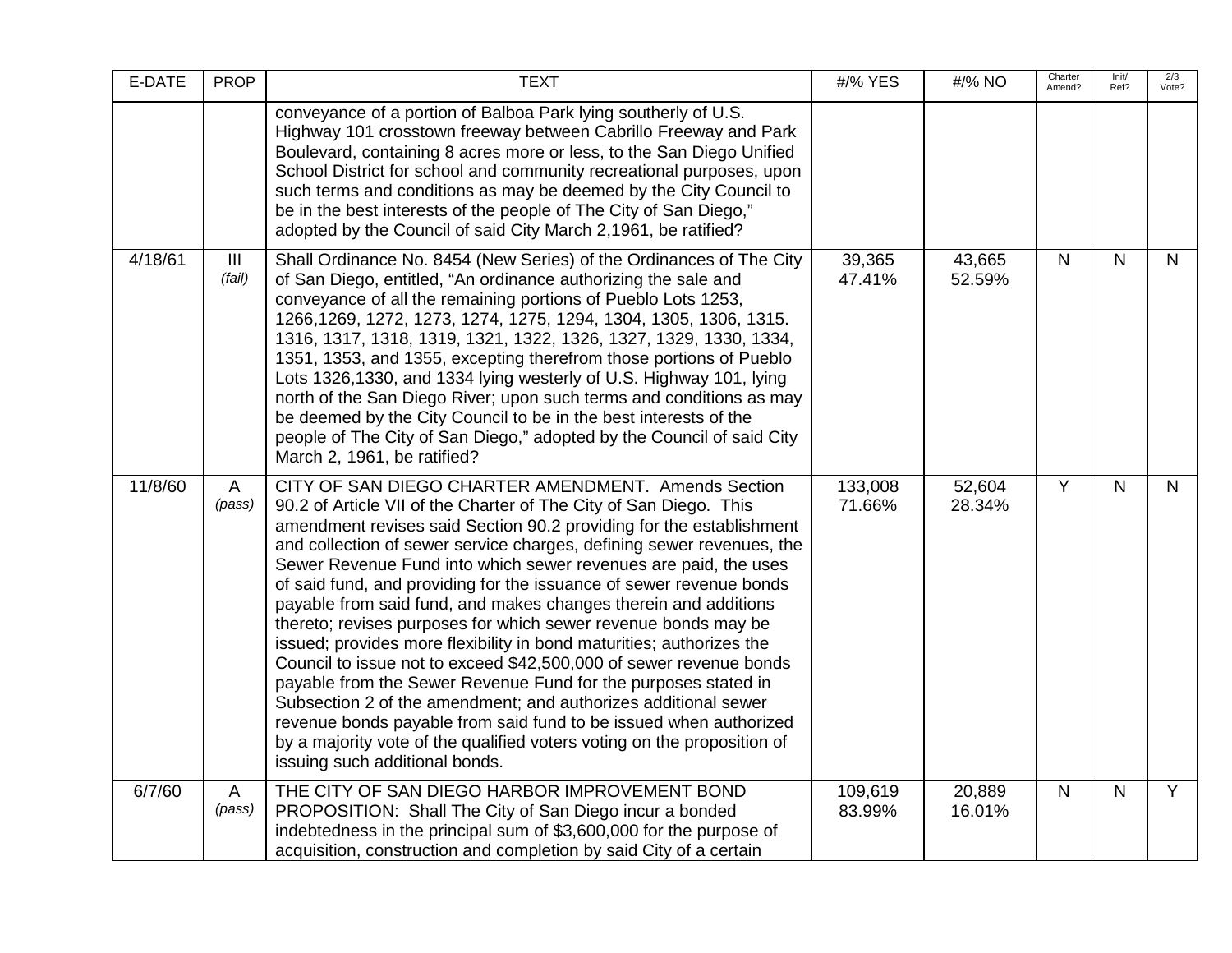| E-DATE  | <b>PROP</b> | <b>TEXT</b>                                                                                                                                                                                                                                                                                                                                                                                                                                                                                                                                                                                                                                                                                                                                                                                                                                                                                                                                                                                                                 | #/% YES           | #/% NO           | Charter<br>Amend? | Init/<br>Ref? | 2/3<br>Vote?   |
|---------|-------------|-----------------------------------------------------------------------------------------------------------------------------------------------------------------------------------------------------------------------------------------------------------------------------------------------------------------------------------------------------------------------------------------------------------------------------------------------------------------------------------------------------------------------------------------------------------------------------------------------------------------------------------------------------------------------------------------------------------------------------------------------------------------------------------------------------------------------------------------------------------------------------------------------------------------------------------------------------------------------------------------------------------------------------|-------------------|------------------|-------------------|---------------|----------------|
|         |             | conveyance of a portion of Balboa Park lying southerly of U.S.<br>Highway 101 crosstown freeway between Cabrillo Freeway and Park<br>Boulevard, containing 8 acres more or less, to the San Diego Unified<br>School District for school and community recreational purposes, upon<br>such terms and conditions as may be deemed by the City Council to<br>be in the best interests of the people of The City of San Diego,"<br>adopted by the Council of said City March 2,1961, be ratified?                                                                                                                                                                                                                                                                                                                                                                                                                                                                                                                               |                   |                  |                   |               |                |
| 4/18/61 | Ш<br>(fail) | Shall Ordinance No. 8454 (New Series) of the Ordinances of The City<br>of San Diego, entitled, "An ordinance authorizing the sale and<br>conveyance of all the remaining portions of Pueblo Lots 1253,<br>1266, 1269, 1272, 1273, 1274, 1275, 1294, 1304, 1305, 1306, 1315.<br>1316, 1317, 1318, 1319, 1321, 1322, 1326, 1327, 1329, 1330, 1334,<br>1351, 1353, and 1355, excepting therefrom those portions of Pueblo<br>Lots 1326,1330, and 1334 lying westerly of U.S. Highway 101, lying<br>north of the San Diego River; upon such terms and conditions as may<br>be deemed by the City Council to be in the best interests of the<br>people of The City of San Diego," adopted by the Council of said City<br>March 2, 1961, be ratified?                                                                                                                                                                                                                                                                             | 39,365<br>47.41%  | 43,665<br>52.59% | N                 | N.            | N              |
| 11/8/60 | A<br>(pass) | CITY OF SAN DIEGO CHARTER AMENDMENT. Amends Section<br>90.2 of Article VII of the Charter of The City of San Diego. This<br>amendment revises said Section 90.2 providing for the establishment<br>and collection of sewer service charges, defining sewer revenues, the<br>Sewer Revenue Fund into which sewer revenues are paid, the uses<br>of said fund, and providing for the issuance of sewer revenue bonds<br>payable from said fund, and makes changes therein and additions<br>thereto; revises purposes for which sewer revenue bonds may be<br>issued; provides more flexibility in bond maturities; authorizes the<br>Council to issue not to exceed \$42,500,000 of sewer revenue bonds<br>payable from the Sewer Revenue Fund for the purposes stated in<br>Subsection 2 of the amendment; and authorizes additional sewer<br>revenue bonds payable from said fund to be issued when authorized<br>by a majority vote of the qualified voters voting on the proposition of<br>issuing such additional bonds. | 133,008<br>71.66% | 52,604<br>28.34% | Y                 | N.            | $\mathsf{N}$   |
| 6/7/60  | A<br>(pass) | THE CITY OF SAN DIEGO HARBOR IMPROVEMENT BOND<br>PROPOSITION: Shall The City of San Diego incur a bonded<br>indebtedness in the principal sum of \$3,600,000 for the purpose of<br>acquisition, construction and completion by said City of a certain                                                                                                                                                                                                                                                                                                                                                                                                                                                                                                                                                                                                                                                                                                                                                                       | 109,619<br>83.99% | 20,889<br>16.01% | $\mathsf{N}$      | $\mathsf{N}$  | $\overline{Y}$ |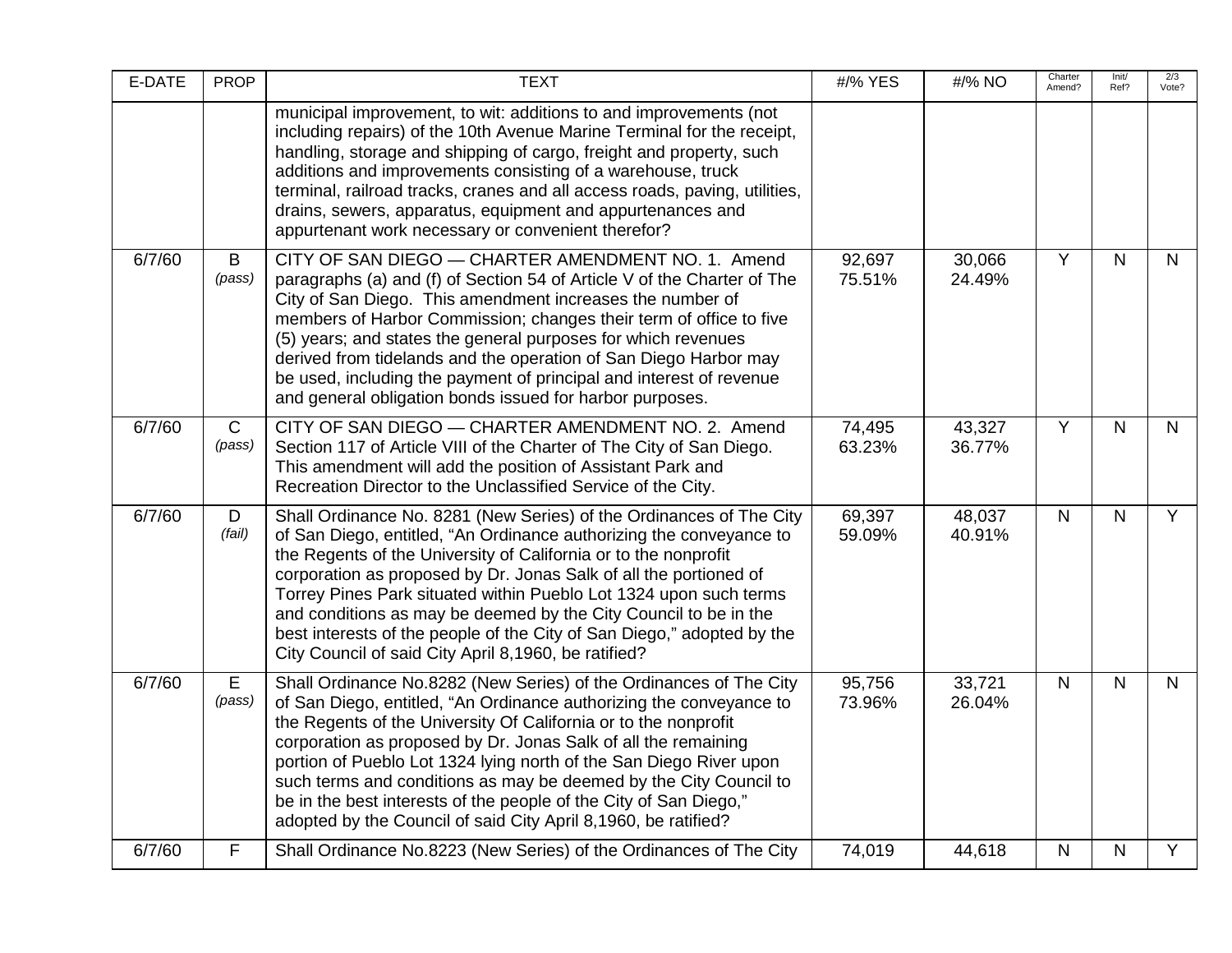| E-DATE | <b>PROP</b>            | <b>TEXT</b>                                                                                                                                                                                                                                                                                                                                                                                                                                                                                                                                                      | #/% YES          | #/% NO           | Charter<br>Amend? | Init/<br>Ref? | 2/3<br>Vote?   |
|--------|------------------------|------------------------------------------------------------------------------------------------------------------------------------------------------------------------------------------------------------------------------------------------------------------------------------------------------------------------------------------------------------------------------------------------------------------------------------------------------------------------------------------------------------------------------------------------------------------|------------------|------------------|-------------------|---------------|----------------|
|        |                        | municipal improvement, to wit: additions to and improvements (not<br>including repairs) of the 10th Avenue Marine Terminal for the receipt,<br>handling, storage and shipping of cargo, freight and property, such<br>additions and improvements consisting of a warehouse, truck<br>terminal, railroad tracks, cranes and all access roads, paving, utilities,<br>drains, sewers, apparatus, equipment and appurtenances and<br>appurtenant work necessary or convenient therefor?                                                                              |                  |                  |                   |               |                |
| 6/7/60 | B<br>(pass)            | CITY OF SAN DIEGO - CHARTER AMENDMENT NO. 1. Amend<br>paragraphs (a) and (f) of Section 54 of Article V of the Charter of The<br>City of San Diego. This amendment increases the number of<br>members of Harbor Commission; changes their term of office to five<br>(5) years; and states the general purposes for which revenues<br>derived from tidelands and the operation of San Diego Harbor may<br>be used, including the payment of principal and interest of revenue<br>and general obligation bonds issued for harbor purposes.                         | 92,697<br>75.51% | 30,066<br>24.49% | $\overline{Y}$    | N             | $\mathsf{N}$   |
| 6/7/60 | $\mathsf{C}$<br>(pass) | CITY OF SAN DIEGO - CHARTER AMENDMENT NO. 2. Amend<br>Section 117 of Article VIII of the Charter of The City of San Diego.<br>This amendment will add the position of Assistant Park and<br>Recreation Director to the Unclassified Service of the City.                                                                                                                                                                                                                                                                                                         | 74,495<br>63.23% | 43,327<br>36.77% | $\overline{Y}$    | N.            | $\mathsf{N}$   |
| 6/7/60 | D<br>(fail)            | Shall Ordinance No. 8281 (New Series) of the Ordinances of The City<br>of San Diego, entitled, "An Ordinance authorizing the conveyance to<br>the Regents of the University of California or to the nonprofit<br>corporation as proposed by Dr. Jonas Salk of all the portioned of<br>Torrey Pines Park situated within Pueblo Lot 1324 upon such terms<br>and conditions as may be deemed by the City Council to be in the<br>best interests of the people of the City of San Diego," adopted by the<br>City Council of said City April 8,1960, be ratified?    | 69,397<br>59.09% | 48,037<br>40.91% | $\mathsf{N}$      | N.            | $\overline{Y}$ |
| 6/7/60 | E<br>(pass)            | Shall Ordinance No.8282 (New Series) of the Ordinances of The City<br>of San Diego, entitled, "An Ordinance authorizing the conveyance to<br>the Regents of the University Of California or to the nonprofit<br>corporation as proposed by Dr. Jonas Salk of all the remaining<br>portion of Pueblo Lot 1324 lying north of the San Diego River upon<br>such terms and conditions as may be deemed by the City Council to<br>be in the best interests of the people of the City of San Diego,"<br>adopted by the Council of said City April 8,1960, be ratified? | 95,756<br>73.96% | 33,721<br>26.04% | $\mathsf{N}$      | N             | $\mathsf{N}$   |
| 6/7/60 | F                      | Shall Ordinance No.8223 (New Series) of the Ordinances of The City                                                                                                                                                                                                                                                                                                                                                                                                                                                                                               | 74,019           | 44,618           | N                 | $\mathsf{N}$  | Y              |